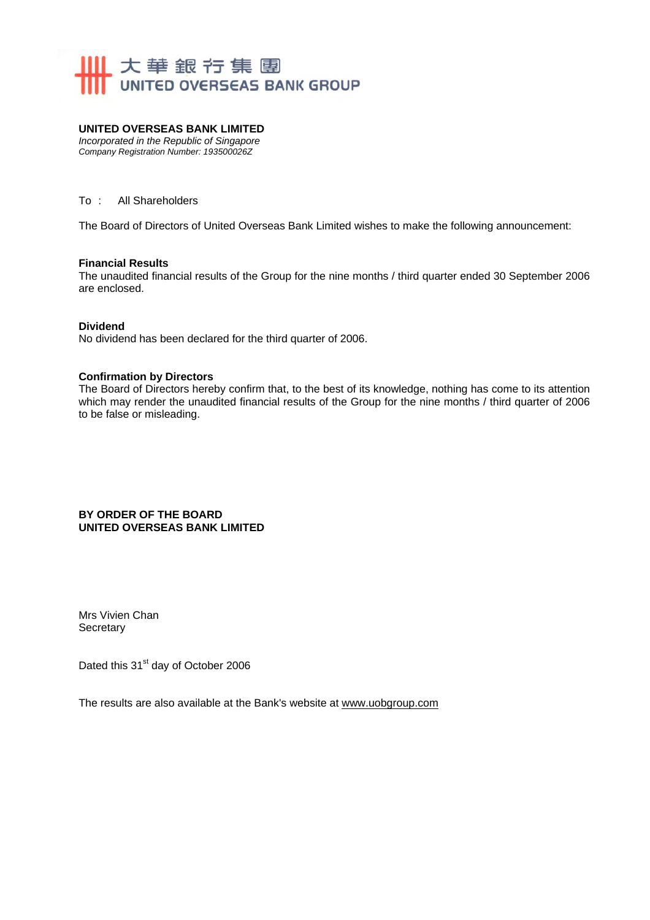

#### **UNITED OVERSEAS BANK LIMITED**

*Incorporated in the Republic of Singapore Company Registration Number: 193500026Z* 

To : All Shareholders

The Board of Directors of United Overseas Bank Limited wishes to make the following announcement:

#### **Financial Results**

The unaudited financial results of the Group for the nine months / third quarter ended 30 September 2006 are enclosed.

#### **Dividend**

No dividend has been declared for the third quarter of 2006.

#### **Confirmation by Directors**

The Board of Directors hereby confirm that, to the best of its knowledge, nothing has come to its attention which may render the unaudited financial results of the Group for the nine months / third quarter of 2006 to be false or misleading.

#### **BY ORDER OF THE BOARD UNITED OVERSEAS BANK LIMITED**

Mrs Vivien Chan **Secretary** 

Dated this 31<sup>st</sup> day of October 2006

The results are also available at the Bank's website at www.uobgroup.com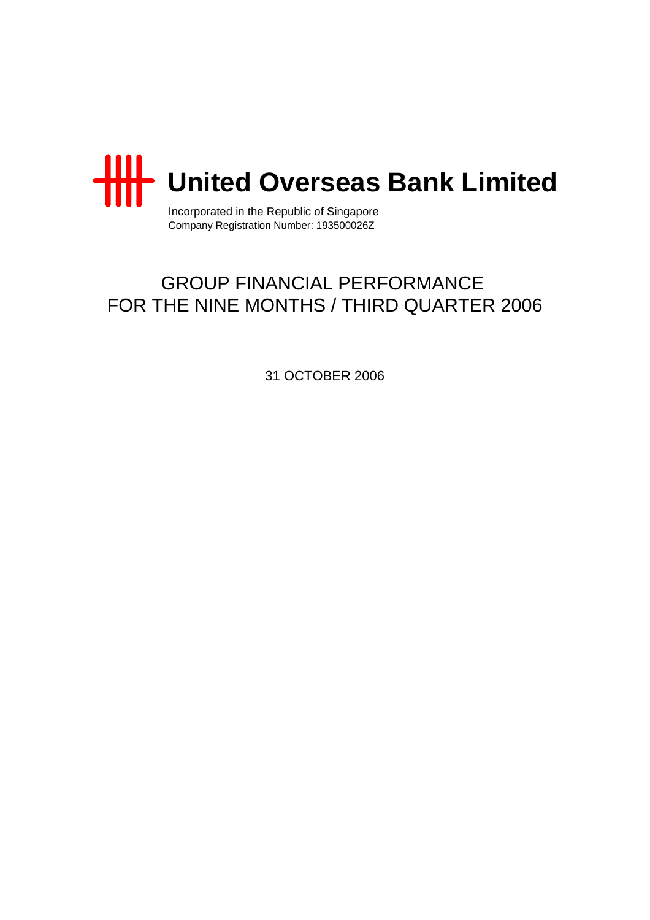

Incorporated in the Republic of Singapore Company Registration Number: 193500026Z

# GROUP FINANCIAL PERFORMANCE FOR THE NINE MONTHS / THIRD QUARTER 2006

31 OCTOBER 2006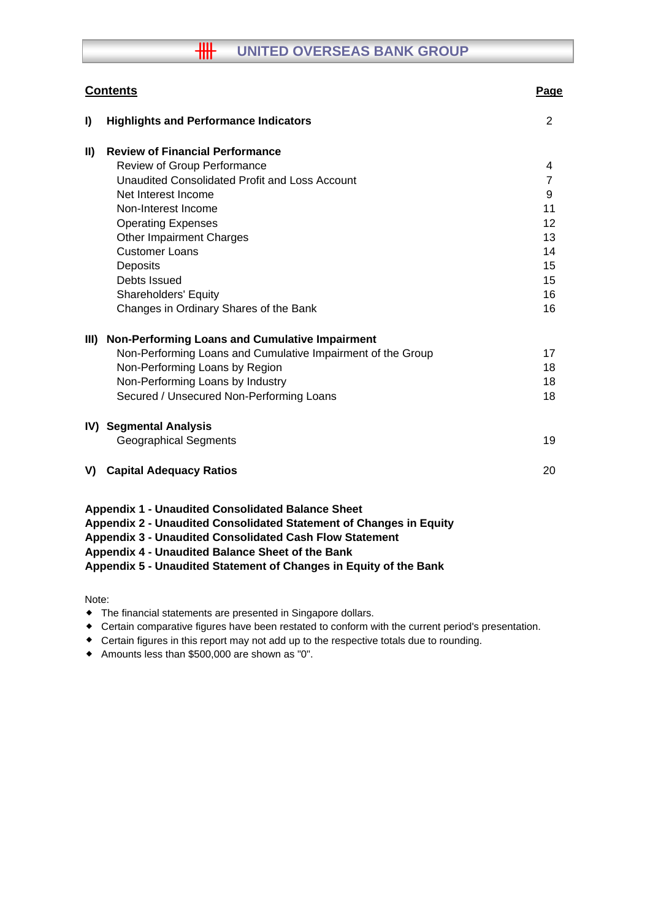# **THE UNITED OVERSEAS BANK GROUP**

|               | <b>Contents</b>                                                                                                                                                                                                                                                                                                           | Page           |
|---------------|---------------------------------------------------------------------------------------------------------------------------------------------------------------------------------------------------------------------------------------------------------------------------------------------------------------------------|----------------|
| I)            | <b>Highlights and Performance Indicators</b>                                                                                                                                                                                                                                                                              | 2              |
| $\mathbf{II}$ | <b>Review of Financial Performance</b>                                                                                                                                                                                                                                                                                    |                |
|               | <b>Review of Group Performance</b>                                                                                                                                                                                                                                                                                        | 4              |
|               | Unaudited Consolidated Profit and Loss Account                                                                                                                                                                                                                                                                            | $\overline{7}$ |
|               | Net Interest Income                                                                                                                                                                                                                                                                                                       | 9              |
|               | Non-Interest Income                                                                                                                                                                                                                                                                                                       | 11             |
|               | <b>Operating Expenses</b>                                                                                                                                                                                                                                                                                                 | 12             |
|               | <b>Other Impairment Charges</b>                                                                                                                                                                                                                                                                                           | 13             |
|               | <b>Customer Loans</b>                                                                                                                                                                                                                                                                                                     | 14             |
|               | Deposits                                                                                                                                                                                                                                                                                                                  | 15             |
|               | Debts Issued                                                                                                                                                                                                                                                                                                              | 15             |
|               | <b>Shareholders' Equity</b>                                                                                                                                                                                                                                                                                               | 16             |
|               | Changes in Ordinary Shares of the Bank                                                                                                                                                                                                                                                                                    | 16             |
| III)          | Non-Performing Loans and Cumulative Impairment                                                                                                                                                                                                                                                                            |                |
|               | Non-Performing Loans and Cumulative Impairment of the Group                                                                                                                                                                                                                                                               | 17             |
|               | Non-Performing Loans by Region                                                                                                                                                                                                                                                                                            | 18             |
|               | Non-Performing Loans by Industry                                                                                                                                                                                                                                                                                          | 18             |
|               | Secured / Unsecured Non-Performing Loans                                                                                                                                                                                                                                                                                  | 18             |
|               | <b>IV) Segmental Analysis</b>                                                                                                                                                                                                                                                                                             |                |
|               | <b>Geographical Segments</b>                                                                                                                                                                                                                                                                                              | 19             |
| V)            | <b>Capital Adequacy Ratios</b>                                                                                                                                                                                                                                                                                            | 20             |
|               | <b>Appendix 1 - Unaudited Consolidated Balance Sheet</b><br>Appendix 2 - Unaudited Consolidated Statement of Changes in Equity<br><b>Appendix 3 - Unaudited Consolidated Cash Flow Statement</b><br>Appendix 4 - Unaudited Balance Sheet of the Bank<br>Appendix 5 - Unaudited Statement of Changes in Equity of the Bank |                |

Note:

- The financial statements are presented in Singapore dollars.
- Certain comparative figures have been restated to conform with the current period's presentation.
- Certain figures in this report may not add up to the respective totals due to rounding.
- Amounts less than \$500,000 are shown as "0".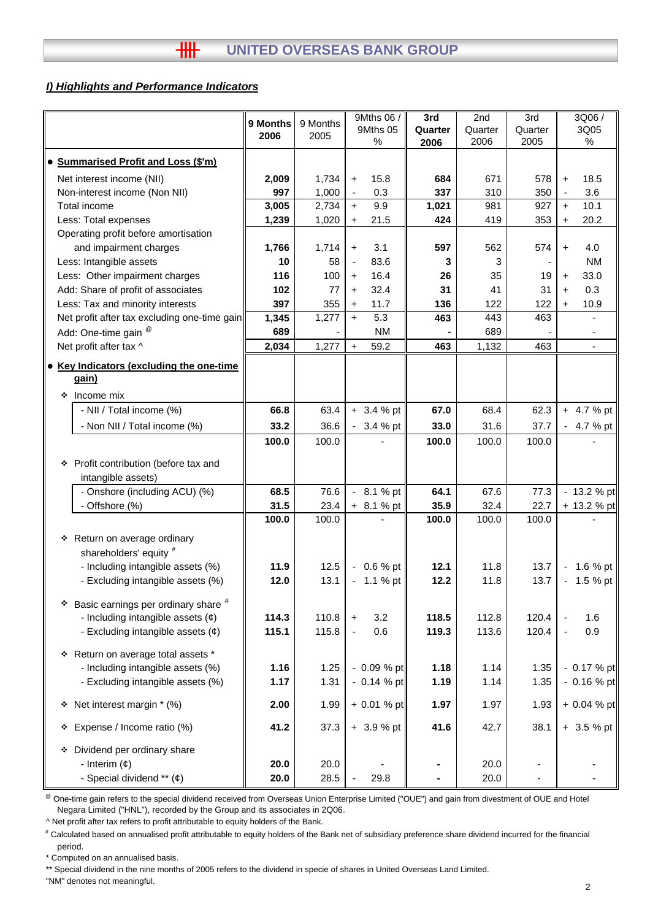#### *I) Highlights and Performance Indicators*

|                                              |          |          | 9Mths 06 /                       | 3rd     | 2nd     | 3rd     |           | 3Q06/                    |
|----------------------------------------------|----------|----------|----------------------------------|---------|---------|---------|-----------|--------------------------|
|                                              | 9 Months | 9 Months | 9Mths 05                         | Quarter | Quarter | Quarter |           | 3Q05                     |
|                                              | 2006     | 2005     | ℅                                | 2006    | 2006    | 2005    |           | %                        |
| <b>Summarised Profit and Loss (\$'m)</b>     |          |          |                                  |         |         |         |           |                          |
| Net interest income (NII)                    | 2,009    | 1,734    | 15.8<br>$+$                      | 684     | 671     | 578     | $\ddot{}$ | 18.5                     |
| Non-interest income (Non NII)                | 997      | 1,000    | 0.3<br>$\overline{\phantom{a}}$  | 337     | 310     | 350     | ä,        | 3.6                      |
| Total income                                 | 3,005    | 2,734    | 9.9<br>$+$                       | 1,021   | 981     | 927     | $+$       | 10.1                     |
| Less: Total expenses                         | 1,239    | 1,020    | 21.5<br>$\ddot{}$                | 424     | 419     | 353     | $\ddot{}$ | 20.2                     |
| Operating profit before amortisation         |          |          |                                  |         |         |         |           |                          |
| and impairment charges                       | 1,766    | 1,714    | 3.1<br>$\ddot{}$                 | 597     | 562     | 574     | $\ddot{}$ | 4.0                      |
| Less: Intangible assets                      | 10       | 58       | 83.6<br>$\overline{\phantom{a}}$ | 3       | 3       |         |           | <b>NM</b>                |
| Less: Other impairment charges               | 116      | 100      | 16.4<br>$\ddot{}$                | 26      | 35      | 19      | $\ddot{}$ | 33.0                     |
| Add: Share of profit of associates           | 102      | 77       | 32.4<br>$+$                      | 31      | 41      | 31      | $+$       | 0.3                      |
| Less: Tax and minority interests             | 397      | 355      | 11.7<br>$+$                      | 136     | 122     | 122     | $\ddot{}$ | 10.9                     |
| Net profit after tax excluding one-time gain | 1,345    | 1,277    | 5.3<br>$+$                       | 463     | 443     | 463     |           |                          |
| Add: One-time gain <sup>@</sup>              | 689      |          | <b>NM</b>                        |         | 689     |         |           |                          |
| Net profit after tax ^                       | 2,034    | 1,277    | 59.2<br>$\ddot{}$                | 463     | 1,132   | 463     |           | $\overline{\phantom{a}}$ |
|                                              |          |          |                                  |         |         |         |           |                          |
| • Key Indicators (excluding the one-time     |          |          |                                  |         |         |         |           |                          |
| gain)                                        |          |          |                                  |         |         |         |           |                          |
| ❖ Income mix                                 |          |          |                                  |         |         |         |           |                          |
| - NII / Total income (%)                     | 66.8     | 63.4     | $+3.4%$ pt                       | 67.0    | 68.4    | 62.3    |           | $+ 4.7 %$ pt             |
| - Non NII / Total income (%)                 | 33.2     | 36.6     | $-3.4%$ pt                       | 33.0    | 31.6    | 37.7    |           | $-4.7%$ pt               |
|                                              | 100.0    | 100.0    |                                  | 100.0   | 100.0   | 100.0   |           |                          |
|                                              |          |          |                                  |         |         |         |           |                          |
| ❖ Profit contribution (before tax and        |          |          |                                  |         |         |         |           |                          |
| intangible assets)                           |          |          |                                  |         |         |         |           |                          |
| - Onshore (including ACU) (%)                | 68.5     | 76.6     | $-8.1%$ pt                       | 64.1    | 67.6    | 77.3    |           | $-13.2%$ pt              |
| - Offshore (%)                               | 31.5     | 23.4     | $+ 8.1 %$ pt                     | 35.9    | 32.4    | 22.7    |           | + 13.2 % pt              |
|                                              | 100.0    | 100.0    |                                  | 100.0   | 100.0   | 100.0   |           |                          |
| * Return on average ordinary                 |          |          |                                  |         |         |         |           |                          |
| shareholders' equity #                       |          |          |                                  |         |         |         |           |                          |
| - Including intangible assets (%)            | 11.9     | 12.5     | $-0.6%$ pt                       | 12.1    | 11.8    | 13.7    |           | $-1.6%$ pt               |
| - Excluding intangible assets (%)            | 12.0     | 13.1     | $-1.1%$ pt                       | 12.2    | 11.8    | 13.7    |           | $-1.5 %$ pt              |
|                                              |          |          |                                  |         |         |         |           |                          |
| Basic earnings per ordinary share #<br>٠     |          |          |                                  |         |         |         |           |                          |
| - Including intangible assets $(\phi)$       | 114.3    | 110.8    | 3.2<br>$\ddot{}$                 | 118.5   | 112.8   | 120.4   |           | 1.6                      |
| - Excluding intangible assets $(\phi)$       | 115.1    | 115.8    | 0.6<br>$\blacksquare$            | 119.3   | 113.6   | 120.4   |           | 0.9                      |
| * Return on average total assets *           |          |          |                                  |         |         |         |           |                          |
| - Including intangible assets (%)            | 1.16     | 1.25     | - 0.09 % pt                      | 1.18    | 1.14    | 1.35    |           | $-0.17 \%$ pt            |
| - Excluding intangible assets (%)            | 1.17     | 1.31     | $-0.14 \%$ pt                    | 1.19    | 1.14    | 1.35    |           | $-0.16%$ pt              |
|                                              |          |          |                                  |         |         |         |           |                          |
| * Net interest margin * (%)                  | 2.00     | 1.99     | $+ 0.01 %$ pt                    | 1.97    | 1.97    | 1.93    |           | + 0.04 % pt              |
| * Expense / Income ratio (%)                 | 41.2     | 37.3     | $+3.9%$ pt                       | 41.6    | 42.7    | 38.1    |           | + 3.5 % pt               |
| Dividend per ordinary share                  |          |          |                                  |         |         |         |           |                          |
| - Interim $(\phi)$                           | 20.0     | 20.0     |                                  |         | 20.0    |         |           |                          |
| - Special dividend ** (¢)                    | 20.0     | 28.5     | 29.8                             |         | 20.0    |         |           |                          |

<sup>@</sup> One-time gain refers to the special dividend received from Overseas Union Enterprise Limited ("OUE") and gain from divestment of OUE and Hotel Negara Limited ("HNL"), recorded by the Group and its associates in 2Q06.

^ Net profit after tax refers to profit attributable to equity holders of the Bank.

# Calculated based on annualised profit attributable to equity holders of the Bank net of subsidiary preference share dividend incurred for the financial period.

\* Computed on an annualised basis.

\*\* Special dividend in the nine months of 2005 refers to the dividend in specie of shares in United Overseas Land Limited.

"NM" denotes not meaningful.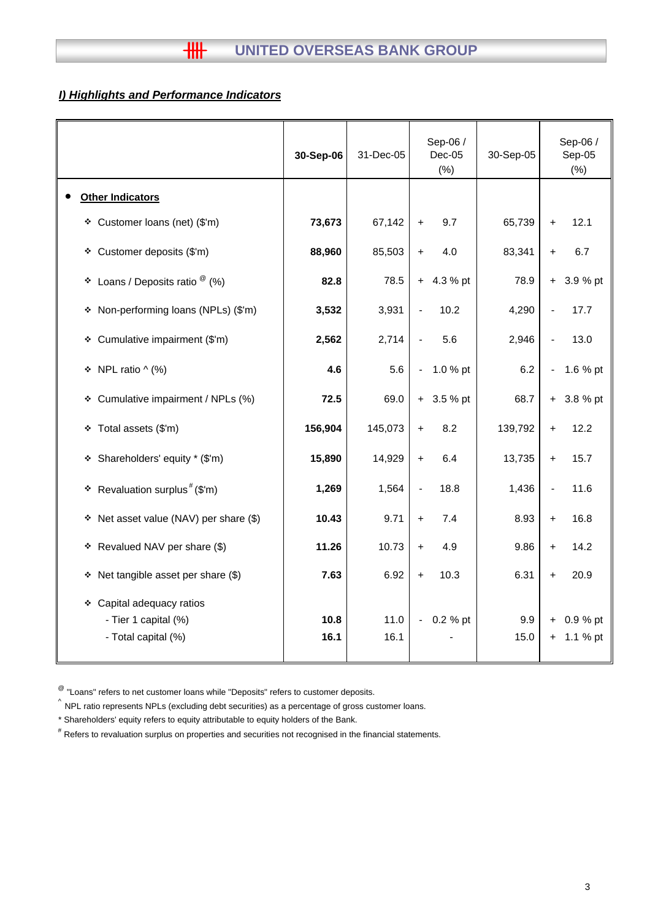# *I) Highlights and Performance Indicators*

|                                                                             | 30-Sep-06    | 31-Dec-05    | Sep-06 /<br>$Dec-05$<br>$(\%)$       | 30-Sep-05   | Sep-06 /<br>$Sep-05$<br>(%)                  |
|-----------------------------------------------------------------------------|--------------|--------------|--------------------------------------|-------------|----------------------------------------------|
| <b>Other Indicators</b>                                                     |              |              |                                      |             |                                              |
| * Customer loans (net) (\$'m)                                               | 73,673       | 67,142       | 9.7<br>$+$                           | 65,739      | 12.1<br>$\ddot{}$                            |
| Customer deposits (\$'m)<br>۰                                               | 88,960       | 85,503       | 4.0<br>$\ddot{}$                     | 83,341      | 6.7<br>$\ddot{}$                             |
| Loans / Deposits ratio $^\circledR$ (%)<br>٠                                | 82.8         | 78.5         | 4.3 % pt<br>$+$                      | 78.9        | 3.9 % pt<br>$\ddot{\phantom{1}}$             |
| Non-performing loans (NPLs) (\$'m)<br>۰                                     | 3,532        | 3,931        | 10.2                                 | 4,290       | 17.7                                         |
| Cumulative impairment (\$'m)<br>۰                                           | 2,562        | 2,714        | 5.6                                  | 2,946       | 13.0<br>$\overline{a}$                       |
| NPL ratio $\wedge$ (%)<br>۰                                                 | 4.6          | 5.6          | 1.0 % pt<br>$\overline{\phantom{0}}$ | 6.2         | 1.6 % pt<br>$\blacksquare$                   |
| Cumulative impairment / NPLs (%)<br>۰                                       | 72.5         | 69.0         | $+3.5%$ pt                           | 68.7        | 3.8 % pt<br>$+$                              |
| Total assets (\$'m)<br>۰                                                    | 156,904      | 145,073      | 8.2<br>$\ddot{}$                     | 139,792     | 12.2<br>$\ddag$                              |
| Shareholders' equity * (\$'m)<br>۰                                          | 15,890       | 14,929       | 6.4<br>$+$                           | 13,735      | 15.7<br>$+$                                  |
| Revaluation surplus <sup>#</sup> (\$'m)<br>۰                                | 1,269        | 1,564        | 18.8                                 | 1,436       | 11.6<br>$\blacksquare$                       |
| Net asset value (NAV) per share (\$)<br>۰                                   | 10.43        | 9.71         | 7.4<br>$+$                           | 8.93        | 16.8<br>$\ddot{}$                            |
| * Revalued NAV per share (\$)                                               | 11.26        | 10.73        | 4.9<br>$+$                           | 9.86        | 14.2<br>$\ddot{}$                            |
| Net tangible asset per share (\$)<br>٠                                      | 7.63         | 6.92         | 10.3<br>$\ddot{}$                    | 6.31        | 20.9<br>$\ddot{}$                            |
| Capital adequacy ratios<br>❖<br>- Tier 1 capital (%)<br>- Total capital (%) | 10.8<br>16.1 | 11.0<br>16.1 | 0.2 % pt                             | 9.9<br>15.0 | 0.9 % pt<br>$\ddot{}$<br>1.1 % pt<br>$\ddag$ |

 $^{\circledR}$  "Loans" refers to net customer loans while "Deposits" refers to customer deposits.

^ NPL ratio represents NPLs (excluding debt securities) as a percentage of gross customer loans.

\* Shareholders' equity refers to equity attributable to equity holders of the Bank.

# Refers to revaluation surplus on properties and securities not recognised in the financial statements.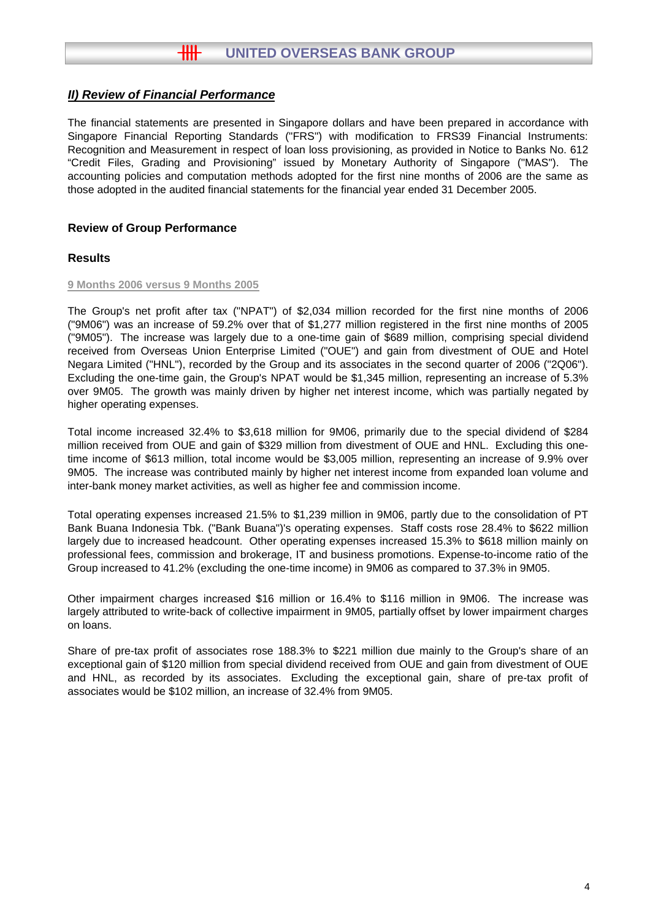The financial statements are presented in Singapore dollars and have been prepared in accordance with Singapore Financial Reporting Standards ("FRS") with modification to FRS39 Financial Instruments: Recognition and Measurement in respect of loan loss provisioning, as provided in Notice to Banks No. 612 "Credit Files, Grading and Provisioning" issued by Monetary Authority of Singapore ("MAS"). The accounting policies and computation methods adopted for the first nine months of 2006 are the same as those adopted in the audited financial statements for the financial year ended 31 December 2005.

## **Review of Group Performance**

## **Results**

#### **9 Months 2006 versus 9 Months 2005**

The Group's net profit after tax ("NPAT") of \$2,034 million recorded for the first nine months of 2006 ("9M06") was an increase of 59.2% over that of \$1,277 million registered in the first nine months of 2005 ("9M05"). The increase was largely due to a one-time gain of \$689 million, comprising special dividend received from Overseas Union Enterprise Limited ("OUE") and gain from divestment of OUE and Hotel Negara Limited ("HNL"), recorded by the Group and its associates in the second quarter of 2006 ("2Q06"). Excluding the one-time gain, the Group's NPAT would be \$1,345 million, representing an increase of 5.3% over 9M05. The growth was mainly driven by higher net interest income, which was partially negated by higher operating expenses.

Total income increased 32.4% to \$3,618 million for 9M06, primarily due to the special dividend of \$284 million received from OUE and gain of \$329 million from divestment of OUE and HNL. Excluding this onetime income of \$613 million, total income would be \$3,005 million, representing an increase of 9.9% over 9M05. The increase was contributed mainly by higher net interest income from expanded loan volume and inter-bank money market activities, as well as higher fee and commission income.

Total operating expenses increased 21.5% to \$1,239 million in 9M06, partly due to the consolidation of PT Bank Buana Indonesia Tbk. ("Bank Buana")'s operating expenses. Staff costs rose 28.4% to \$622 million largely due to increased headcount. Other operating expenses increased 15.3% to \$618 million mainly on professional fees, commission and brokerage, IT and business promotions. Expense-to-income ratio of the Group increased to 41.2% (excluding the one-time income) in 9M06 as compared to 37.3% in 9M05.

Other impairment charges increased \$16 million or 16.4% to \$116 million in 9M06. The increase was largely attributed to write-back of collective impairment in 9M05, partially offset by lower impairment charges on loans.

Share of pre-tax profit of associates rose 188.3% to \$221 million due mainly to the Group's share of an exceptional gain of \$120 million from special dividend received from OUE and gain from divestment of OUE and HNL, as recorded by its associates. Excluding the exceptional gain, share of pre-tax profit of associates would be \$102 million, an increase of 32.4% from 9M05.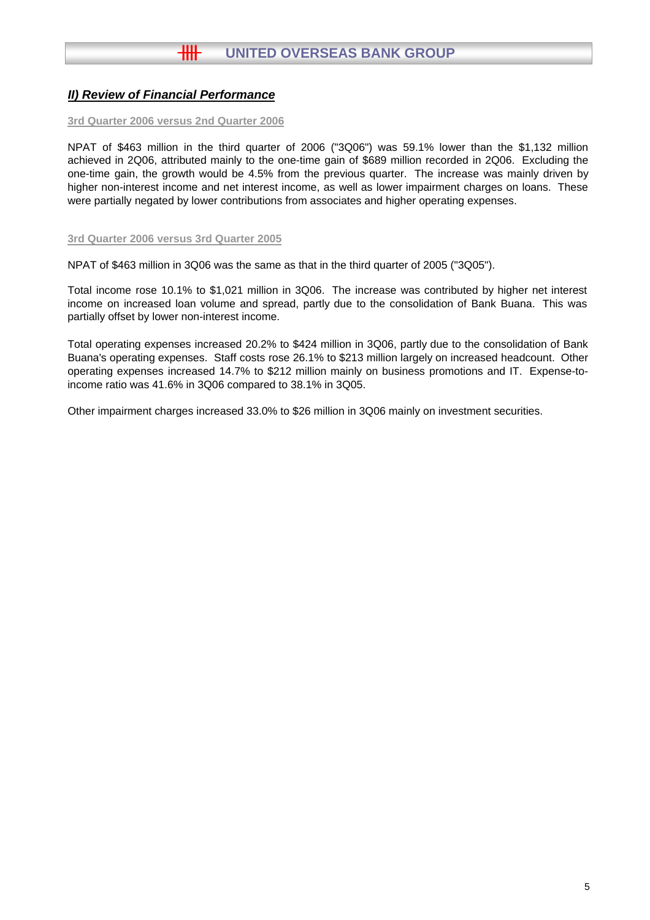#### **3rd Quarter 2006 versus 2nd Quarter 2006**

NPAT of \$463 million in the third quarter of 2006 ("3Q06") was 59.1% lower than the \$1,132 million achieved in 2Q06, attributed mainly to the one-time gain of \$689 million recorded in 2Q06. Excluding the one-time gain, the growth would be 4.5% from the previous quarter. The increase was mainly driven by higher non-interest income and net interest income, as well as lower impairment charges on loans. These were partially negated by lower contributions from associates and higher operating expenses.

#### **3rd Quarter 2006 versus 3rd Quarter 2005**

NPAT of \$463 million in 3Q06 was the same as that in the third quarter of 2005 ("3Q05").

Total income rose 10.1% to \$1,021 million in 3Q06. The increase was contributed by higher net interest income on increased loan volume and spread, partly due to the consolidation of Bank Buana. This was partially offset by lower non-interest income.

Total operating expenses increased 20.2% to \$424 million in 3Q06, partly due to the consolidation of Bank Buana's operating expenses. Staff costs rose 26.1% to \$213 million largely on increased headcount. Other operating expenses increased 14.7% to \$212 million mainly on business promotions and IT. Expense-toincome ratio was 41.6% in 3Q06 compared to 38.1% in 3Q05.

Other impairment charges increased 33.0% to \$26 million in 3Q06 mainly on investment securities.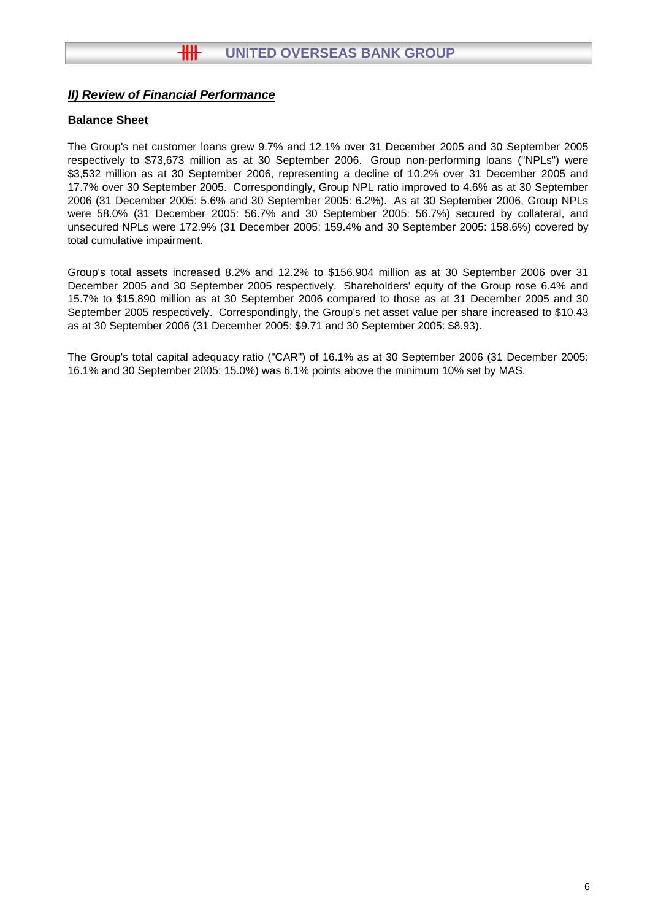## **Balance Sheet**

The Group's net customer loans grew 9.7% and 12.1% over 31 December 2005 and 30 September 2005 respectively to \$73,673 million as at 30 September 2006. Group non-performing loans ("NPLs") were \$3,532 million as at 30 September 2006, representing a decline of 10.2% over 31 December 2005 and 17.7% over 30 September 2005. Correspondingly, Group NPL ratio improved to 4.6% as at 30 September 2006 (31 December 2005: 5.6% and 30 September 2005: 6.2%). As at 30 September 2006, Group NPLs were 58.0% (31 December 2005: 56.7% and 30 September 2005: 56.7%) secured by collateral, and unsecured NPLs were 172.9% (31 December 2005: 159.4% and 30 September 2005: 158.6%) covered by total cumulative impairment.

Group's total assets increased 8.2% and 12.2% to \$156,904 million as at 30 September 2006 over 31 December 2005 and 30 September 2005 respectively. Shareholders' equity of the Group rose 6.4% and 15.7% to \$15,890 million as at 30 September 2006 compared to those as at 31 December 2005 and 30 September 2005 respectively. Correspondingly, the Group's net asset value per share increased to \$10.43 as at 30 September 2006 (31 December 2005: \$9.71 and 30 September 2005: \$8.93).

The Group's total capital adequacy ratio ("CAR") of 16.1% as at 30 September 2006 (31 December 2005: 16.1% and 30 September 2005: 15.0%) was 6.1% points above the minimum 10% set by MAS.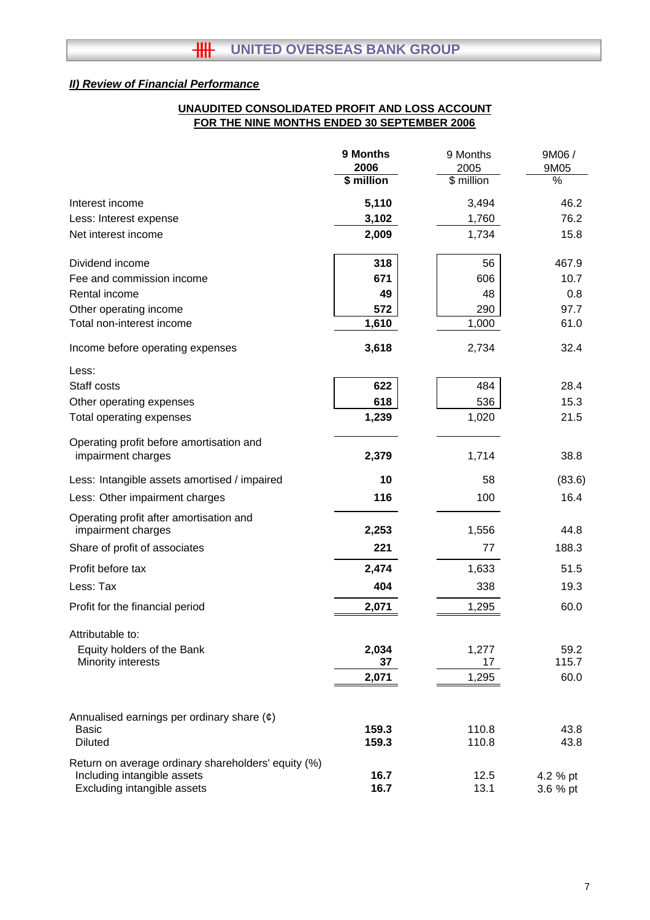## **FOR THE NINE MONTHS ENDED 30 SEPTEMBER 2006 UNAUDITED CONSOLIDATED PROFIT AND LOSS ACCOUNT**

|                                                               | 9 Months<br>2006 | 9 Months<br>2005 | 9M06 /<br>9M05 |
|---------------------------------------------------------------|------------------|------------------|----------------|
|                                                               | $$$ million      | \$ million       | $\frac{9}{6}$  |
| Interest income                                               | 5,110            | 3,494            | 46.2           |
| Less: Interest expense                                        | 3,102            | 1,760            | 76.2           |
| Net interest income                                           | 2,009            | 1,734            | 15.8           |
| Dividend income                                               | 318              | 56               | 467.9          |
| Fee and commission income                                     | 671              | 606              | 10.7           |
| Rental income                                                 | 49               | 48               | 0.8            |
| Other operating income                                        | 572              | 290              | 97.7           |
| Total non-interest income                                     | 1,610            | 1,000            | 61.0           |
| Income before operating expenses                              | 3,618            | 2,734            | 32.4           |
| Less:                                                         |                  |                  |                |
| Staff costs                                                   | 622              | 484              | 28.4           |
| Other operating expenses                                      | 618              | 536              | 15.3           |
| Total operating expenses                                      | 1,239            | 1,020            | 21.5           |
| Operating profit before amortisation and                      |                  |                  |                |
| impairment charges                                            | 2,379            | 1,714            | 38.8           |
| Less: Intangible assets amortised / impaired                  | 10               | 58               | (83.6)         |
| Less: Other impairment charges                                | 116              | 100              | 16.4           |
| Operating profit after amortisation and<br>impairment charges | 2,253            | 1,556            | 44.8           |
| Share of profit of associates                                 | 221              | 77               | 188.3          |
| Profit before tax                                             | 2,474            | 1,633            | 51.5           |
| Less: Tax                                                     | 404              | 338              | 19.3           |
| Profit for the financial period                               | 2,071            | 1,295            | 60.0           |
| Attributable to:                                              |                  |                  |                |
| Equity holders of the Bank                                    | 2,034            | 1,277            | 59.2           |
| Minority interests                                            | 37               | 17               | 115.7          |
|                                                               | 2,071            | 1,295            | 60.0           |
| Annualised earnings per ordinary share $(e)$                  |                  |                  |                |
| Basic                                                         | 159.3            | 110.8            | 43.8           |
| <b>Diluted</b>                                                | 159.3            | 110.8            | 43.8           |
| Return on average ordinary shareholders' equity (%)           |                  |                  |                |
| Including intangible assets<br>Excluding intangible assets    | 16.7<br>16.7     | 12.5<br>13.1     | 4.2 % pt       |
|                                                               |                  |                  | 3.6 % pt       |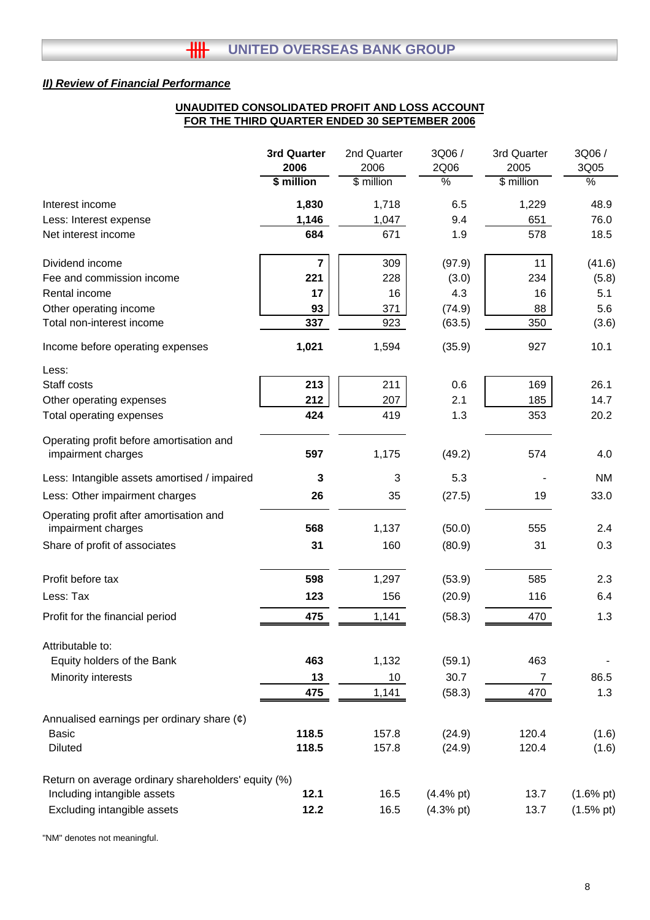#### **UNAUDITED CONSOLIDATED PROFIT AND LOSS ACCOUNT FOR THE THIRD QUARTER ENDED 30 SEPTEMBER 2006**

|                                                               | <b>3rd Quarter</b>      | 2nd Quarter     | 3Q06/         | 3rd Quarter  | 3Q06 /               |
|---------------------------------------------------------------|-------------------------|-----------------|---------------|--------------|----------------------|
|                                                               | 2006                    | 2006            | 2Q06          | 2005         | 3Q05                 |
|                                                               | \$ million              | \$ million      | $\frac{9}{6}$ | \$ million   | $\frac{0}{6}$        |
| Interest income                                               | 1,830                   | 1,718           | 6.5           | 1,229        | 48.9                 |
| Less: Interest expense                                        | 1,146                   | 1,047           | 9.4           | 651          | 76.0                 |
| Net interest income                                           | 684                     | 671             | 1.9           | 578          | 18.5                 |
| Dividend income                                               | $\overline{\mathbf{r}}$ | 309             | (97.9)        | 11           | (41.6)               |
| Fee and commission income                                     | 221                     | 228             | (3.0)         | 234          | (5.8)                |
| Rental income                                                 | 17                      | 16              | 4.3           | 16           | 5.1                  |
| Other operating income                                        | 93                      | 371             | (74.9)        | 88           | 5.6                  |
| Total non-interest income                                     | 337                     | 923             | (63.5)        | 350          | (3.6)                |
| Income before operating expenses                              | 1,021                   | 1,594           | (35.9)        | 927          | 10.1                 |
| Less:                                                         |                         |                 |               |              |                      |
| Staff costs                                                   | 213                     | 211             | 0.6           | 169          | 26.1                 |
| Other operating expenses                                      | 212                     | 207             | 2.1           | 185          | 14.7                 |
| Total operating expenses                                      | 424                     | 419             | 1.3           | 353          | 20.2                 |
| Operating profit before amortisation and                      |                         |                 |               |              |                      |
| impairment charges                                            | 597                     | 1,175           | (49.2)        | 574          | 4.0                  |
| Less: Intangible assets amortised / impaired                  | 3                       | 3               | 5.3           |              | <b>NM</b>            |
| Less: Other impairment charges                                | 26                      | 35              | (27.5)        | 19           | 33.0                 |
| Operating profit after amortisation and<br>impairment charges | 568                     | 1,137           | (50.0)        | 555          | 2.4                  |
|                                                               |                         |                 |               |              |                      |
| Share of profit of associates                                 | 31                      | 160             | (80.9)        | 31           | 0.3                  |
| Profit before tax                                             | 598                     | 1,297           | (53.9)        | 585          | 2.3                  |
| Less: Tax                                                     | 123                     | 156             | (20.9)        | 116          | 6.4                  |
| Profit for the financial period                               | 475                     | 1,141           | (58.3)        | 470          | 1.3                  |
| Attributable to:                                              |                         |                 |               |              |                      |
| Equity holders of the Bank                                    | 463                     | 1,132           | (59.1)        | 463          |                      |
| Minority interests                                            | 13                      | 10 <sup>°</sup> | 30.7          | $\mathbf{7}$ | 86.5                 |
|                                                               | 475                     | 1,141           | (58.3)        | 470          | 1.3                  |
| Annualised earnings per ordinary share $(\phi)$               |                         |                 |               |              |                      |
| <b>Basic</b>                                                  | 118.5                   | 157.8           | (24.9)        | 120.4        | (1.6)                |
| <b>Diluted</b>                                                | 118.5                   | 157.8           | (24.9)        | 120.4        | (1.6)                |
| Return on average ordinary shareholders' equity (%)           |                         |                 |               |              |                      |
| Including intangible assets                                   | 12.1                    | 16.5            | $(4.4%$ pt)   | 13.7         | $(1.6\% \text{ pt})$ |
| Excluding intangible assets                                   | 12.2                    | 16.5            | $(4.3%$ pt)   | 13.7         | $(1.5%$ pt)          |

"NM" denotes not meaningful.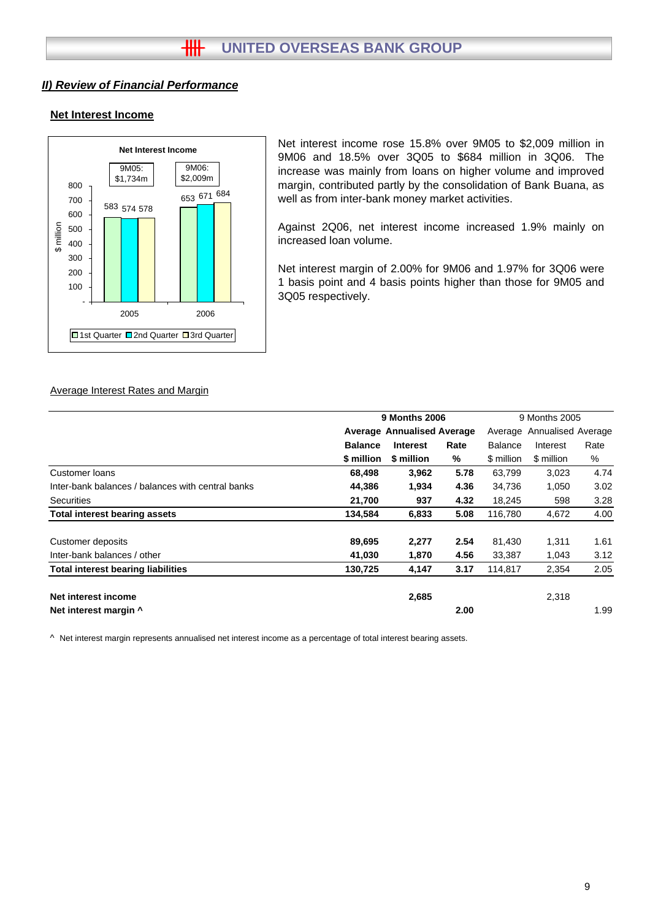#### **Net Interest Income**



Net interest income rose 15.8% over 9M05 to \$2,009 million in 9M06 and 18.5% over 3Q05 to \$684 million in 3Q06. The increase was mainly from loans on higher volume and improved margin, contributed partly by the consolidation of Bank Buana, as well as from inter-bank money market activities.

Against 2Q06, net interest income increased 1.9% mainly on increased loan volume.

Net interest margin of 2.00% for 9M06 and 1.97% for 3Q06 were 1 basis point and 4 basis points higher than those for 9M05 and 3Q05 respectively.

#### Average Interest Rates and Margin

|                                                   | <b>9 Months 2006</b>              |                 |      | 9 Months 2005  |                            |      |  |
|---------------------------------------------------|-----------------------------------|-----------------|------|----------------|----------------------------|------|--|
|                                                   | <b>Average Annualised Average</b> |                 |      |                | Average Annualised Average |      |  |
|                                                   | <b>Balance</b>                    | <b>Interest</b> | Rate | <b>Balance</b> | Interest                   | Rate |  |
|                                                   | \$ million                        | \$ million      | ℅    | \$ million     | \$ million                 | %    |  |
| Customer loans                                    | 68,498                            | 3,962           | 5.78 | 63,799         | 3,023                      | 4.74 |  |
| Inter-bank balances / balances with central banks | 44,386                            | 1,934           | 4.36 | 34,736         | 1,050                      | 3.02 |  |
| <b>Securities</b>                                 | 21,700                            | 937             | 4.32 | 18,245         | 598                        | 3.28 |  |
| <b>Total interest bearing assets</b>              | 134,584                           | 6,833           | 5.08 | 116,780        | 4,672                      | 4.00 |  |
| Customer deposits                                 | 89,695                            | 2,277           | 2.54 | 81,430         | 1,311                      | 1.61 |  |
| Inter-bank balances / other                       | 41,030                            | 1,870           | 4.56 | 33,387         | 1,043                      | 3.12 |  |
| <b>Total interest bearing liabilities</b>         | 130,725                           | 4,147           | 3.17 | 114,817        | 2,354                      | 2.05 |  |
| Net interest income                               |                                   | 2,685           |      |                | 2,318                      |      |  |
| Net interest margin ^                             |                                   |                 | 2.00 |                |                            | 1.99 |  |

^ Net interest margin represents annualised net interest income as a percentage of total interest bearing assets.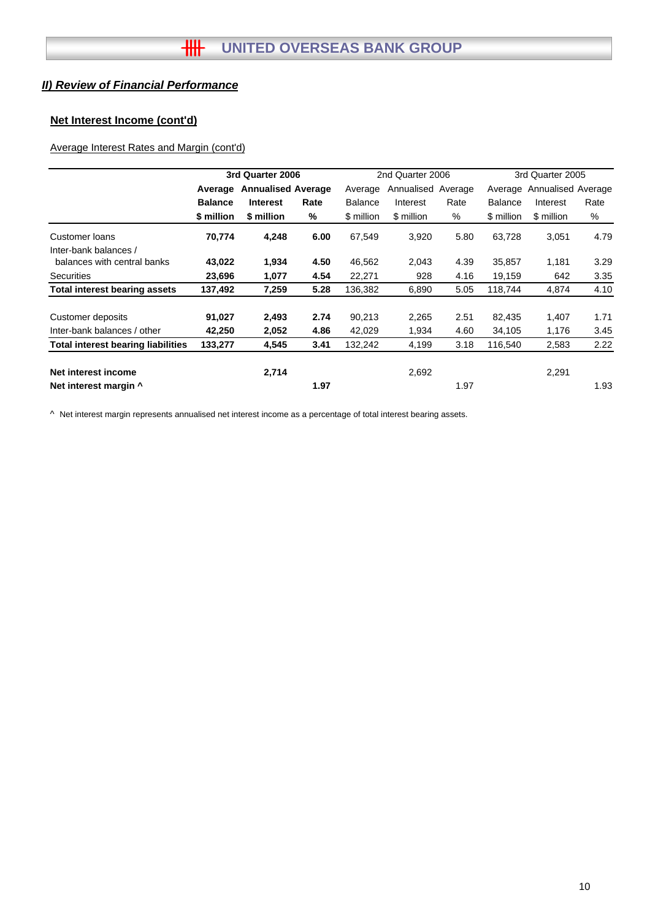## **Net Interest Income (cont'd)**

## Average Interest Rates and Margin (cont'd)

|                                                |                | 3rd Quarter 2006          |      |                | 2nd Quarter 2006   |      | 3rd Quarter 2005 |                    |      |
|------------------------------------------------|----------------|---------------------------|------|----------------|--------------------|------|------------------|--------------------|------|
|                                                | Average        | <b>Annualised Average</b> |      | Average        | Annualised Average |      | Average          | Annualised Average |      |
|                                                | <b>Balance</b> | <b>Interest</b>           | Rate | <b>Balance</b> | Interest           | Rate | <b>Balance</b>   | Interest           | Rate |
|                                                | \$ million     | \$ million                | %    | \$ million     | \$ million         | %    | \$ million       | \$ million         | %    |
| <b>Customer loans</b><br>Inter-bank balances / | 70,774         | 4,248                     | 6.00 | 67,549         | 3,920              | 5.80 | 63,728           | 3,051              | 4.79 |
| balances with central banks                    | 43,022         | 1,934                     | 4.50 | 46,562         | 2,043              | 4.39 | 35,857           | 1,181              | 3.29 |
| <b>Securities</b>                              | 23,696         | 1,077                     | 4.54 | 22,271         | 928                | 4.16 | 19,159           | 642                | 3.35 |
| <b>Total interest bearing assets</b>           | 137,492        | 7,259                     | 5.28 | 136,382        | 6,890              | 5.05 | 118,744          | 4,874              | 4.10 |
| Customer deposits                              | 91,027         | 2,493                     | 2.74 | 90,213         | 2,265              | 2.51 | 82,435           | 1,407              | 1.71 |
| Inter-bank balances / other                    | 42,250         | 2,052                     | 4.86 | 42,029         | 1,934              | 4.60 | 34,105           | 1,176              | 3.45 |
| <b>Total interest bearing liabilities</b>      | 133,277        | 4,545                     | 3.41 | 132,242        | 4,199              | 3.18 | 116,540          | 2,583              | 2.22 |
| Net interest income                            |                | 2,714                     |      |                | 2,692              |      |                  | 2,291              |      |
| Net interest margin ^                          |                |                           | 1.97 |                |                    | 1.97 |                  |                    | 1.93 |

^ Net interest margin represents annualised net interest income as a percentage of total interest bearing assets.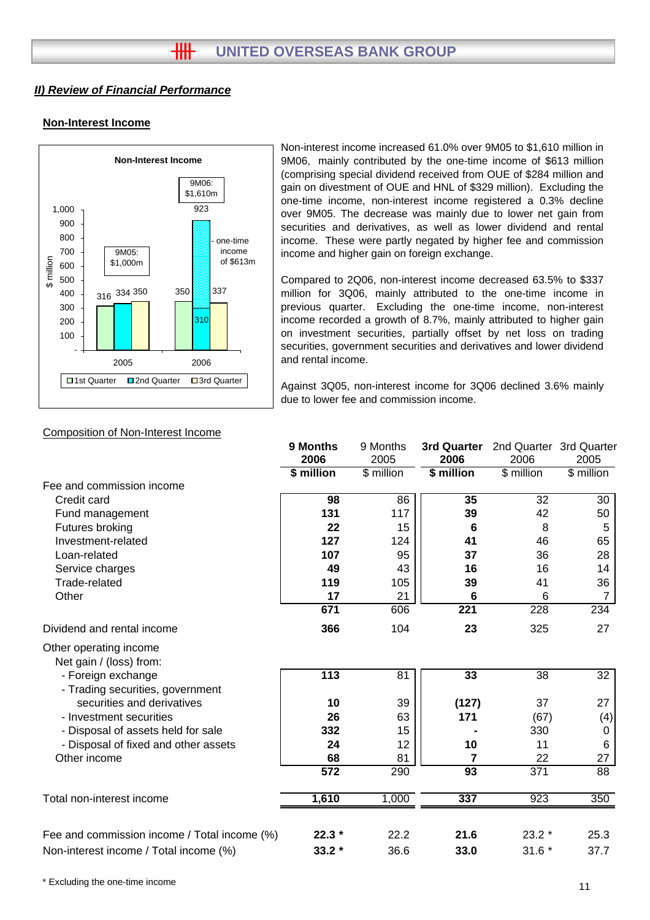## **Non-Interest Income**



Non-interest income increased 61.0% over 9M05 to \$1,610 million in 9M06, mainly contributed by the one-time income of \$613 million (comprising special dividend received from OUE of \$284 million and gain on divestment of OUE and HNL of \$329 million). Excluding the one-time income, non-interest income registered a 0.3% decline over 9M05. The decrease was mainly due to lower net gain from securities and derivatives, as well as lower dividend and rental income. These were partly negated by higher fee and commission income and higher gain on foreign exchange.

Compared to 2Q06, non-interest income decreased 63.5% to \$337 million for 3Q06, mainly attributed to the one-time income in previous quarter. Excluding the one-time income, non-interest income recorded a growth of 8.7%, mainly attributed to higher gain on investment securities, partially offset by net loss on trading securities, government securities and derivatives and lower dividend and rental income.

Against 3Q05, non-interest income for 3Q06 declined 3.6% mainly due to lower fee and commission income.

|                                                        | 9 Months         | 9 Months   | 3rd Quarter     | 2nd Quarter 3rd Quarter |                 |
|--------------------------------------------------------|------------------|------------|-----------------|-------------------------|-----------------|
|                                                        | 2006             | 2005       | 2006            | 2006                    | 2005            |
|                                                        | \$ million       | \$ million | \$ million      | \$ million              | \$ million      |
| Fee and commission income                              |                  |            |                 |                         |                 |
| Credit card                                            | 98               | 86         | 35              | 32                      | 30              |
| Fund management                                        | 131              | 117        | 39              | 42                      | 50              |
| Futures broking                                        | 22               | 15         | 6               | 8                       | 5               |
| Investment-related                                     | 127              | 124        | 41              | 46                      | 65              |
| Loan-related                                           | 107              | 95         | 37              | 36                      | 28              |
| Service charges                                        | 49               | 43         | 16              | 16                      | 14              |
| Trade-related                                          | 119              | 105        | 39              | 41                      | 36              |
| Other                                                  | 17               | 21         | 6               | 6                       | $\overline{7}$  |
|                                                        | 671              | 606        | 221             | 228                     | 234             |
| Dividend and rental income                             | 366              | 104        | 23              | 325                     | 27              |
| Other operating income<br>Net gain / (loss) from:      |                  |            |                 |                         |                 |
| - Foreign exchange<br>- Trading securities, government | 113              | 81         | 33              | 38                      | 32              |
| securities and derivatives                             | 10               | 39         | (127)           | 37                      | 27              |
| - Investment securities                                | 26               | 63         | 171             | (67)                    | (4)             |
| - Disposal of assets held for sale                     | 332              | 15         |                 | 330                     | 0               |
| - Disposal of fixed and other assets                   | 24               | 12         | 10              | 11                      | $\,6$           |
| Other income                                           | 68               | 81         | 7               | 22                      | 27              |
|                                                        | $\overline{572}$ | 290        | $\overline{93}$ | $\overline{371}$        | $\overline{88}$ |
| Total non-interest income                              | 1,610            | 1,000      | 337             | 923                     | 350             |
|                                                        |                  |            |                 |                         |                 |
| Fee and commission income / Total income (%)           | $22.3*$          | 22.2       | 21.6            | $23.2*$                 | 25.3            |
| Non-interest income / Total income (%)                 | $33.2*$          | 36.6       | 33.0            | $31.6*$                 | 37.7            |

#### Composition of Non-Interest Income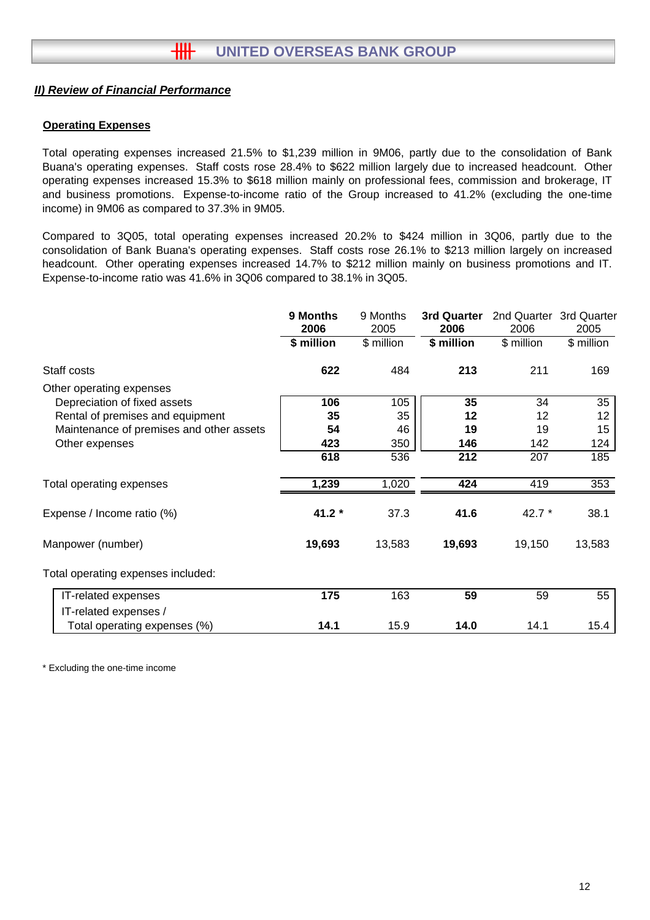#### **Operating Expenses**

Total operating expenses increased 21.5% to \$1,239 million in 9M06, partly due to the consolidation of Bank Buana's operating expenses. Staff costs rose 28.4% to \$622 million largely due to increased headcount. Other operating expenses increased 15.3% to \$618 million mainly on professional fees, commission and brokerage, IT and business promotions. Expense-to-income ratio of the Group increased to 41.2% (excluding the one-time income) in 9M06 as compared to 37.3% in 9M05.

Compared to 3Q05, total operating expenses increased 20.2% to \$424 million in 3Q06, partly due to the consolidation of Bank Buana's operating expenses. Staff costs rose 26.1% to \$213 million largely on increased headcount. Other operating expenses increased 14.7% to \$212 million mainly on business promotions and IT. Expense-to-income ratio was 41.6% in 3Q06 compared to 38.1% in 3Q05.

|                                          | 9 Months<br>2006 | 9 Months<br>2005 | 3rd Quarter<br>2006 | 2nd Quarter 3rd Quarter<br>2006 | 2005       |
|------------------------------------------|------------------|------------------|---------------------|---------------------------------|------------|
|                                          | \$ million       | \$ million       | \$ million          | \$ million                      | \$ million |
| Staff costs                              | 622              | 484              | 213                 | 211                             | 169        |
| Other operating expenses                 |                  |                  |                     |                                 |            |
| Depreciation of fixed assets             | 106              | 105              | 35                  | 34                              | 35         |
| Rental of premises and equipment         | 35               | 35               | 12                  | 12                              | 12         |
| Maintenance of premises and other assets | 54               | 46               | 19                  | 19                              | 15         |
| Other expenses                           | 423              | 350              | 146                 | 142                             | 124        |
|                                          | 618              | 536              | 212                 | 207                             | 185        |
| Total operating expenses                 | 1,239            | 1,020            | 424                 | 419                             | 353        |
| Expense / Income ratio (%)               | $41.2*$          | 37.3             | 41.6                | 42.7 $*$                        | 38.1       |
| Manpower (number)                        | 19,693           | 13,583           | 19,693              | 19,150                          | 13,583     |
| Total operating expenses included:       |                  |                  |                     |                                 |            |
| IT-related expenses                      | 175              | 163              | 59                  | 59                              | 55         |
| IT-related expenses /                    |                  |                  |                     |                                 |            |
| Total operating expenses (%)             | 14.1             | 15.9             | 14.0                | 14.1                            | 15.4       |

\* Excluding the one-time income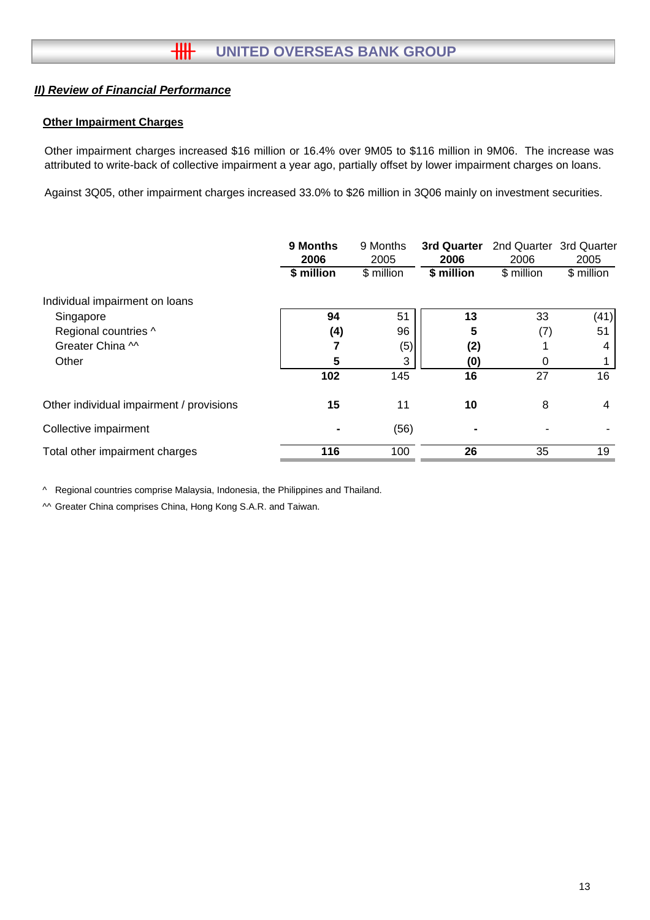## **Other Impairment Charges**

Other impairment charges increased \$16 million or 16.4% over 9M05 to \$116 million in 9M06. The increase was attributed to write-back of collective impairment a year ago, partially offset by lower impairment charges on loans.

Against 3Q05, other impairment charges increased 33.0% to \$26 million in 3Q06 mainly on investment securities.

|                                          | 9 Months<br>2006<br>\$ million | 9 Months<br>2005<br>\$ million | 3rd Quarter<br>2006<br>\$ million | 2nd Quarter 3rd Quarter<br>2006<br>\$ million | 2005<br>\$ million |
|------------------------------------------|--------------------------------|--------------------------------|-----------------------------------|-----------------------------------------------|--------------------|
| Individual impairment on loans           |                                |                                |                                   |                                               |                    |
| Singapore                                | 94                             | 51                             | 13                                | 33                                            | (41)               |
| Regional countries ^                     | (4)                            | 96                             | 5                                 | (7)                                           | 51                 |
| Greater China M                          |                                | (5)                            | (2)                               |                                               | 4                  |
| Other                                    | 5                              | 3                              | (0)                               | 0                                             |                    |
|                                          | 102                            | 145                            | 16                                | 27                                            | 16                 |
| Other individual impairment / provisions | 15                             | 11                             | 10                                | 8                                             | 4                  |
| Collective impairment                    |                                | (56)                           | $\blacksquare$                    |                                               |                    |
| Total other impairment charges           | 116                            | 100                            | 26                                | 35                                            | 19                 |

^ Regional countries comprise Malaysia, Indonesia, the Philippines and Thailand.

^^ Greater China comprises China, Hong Kong S.A.R. and Taiwan.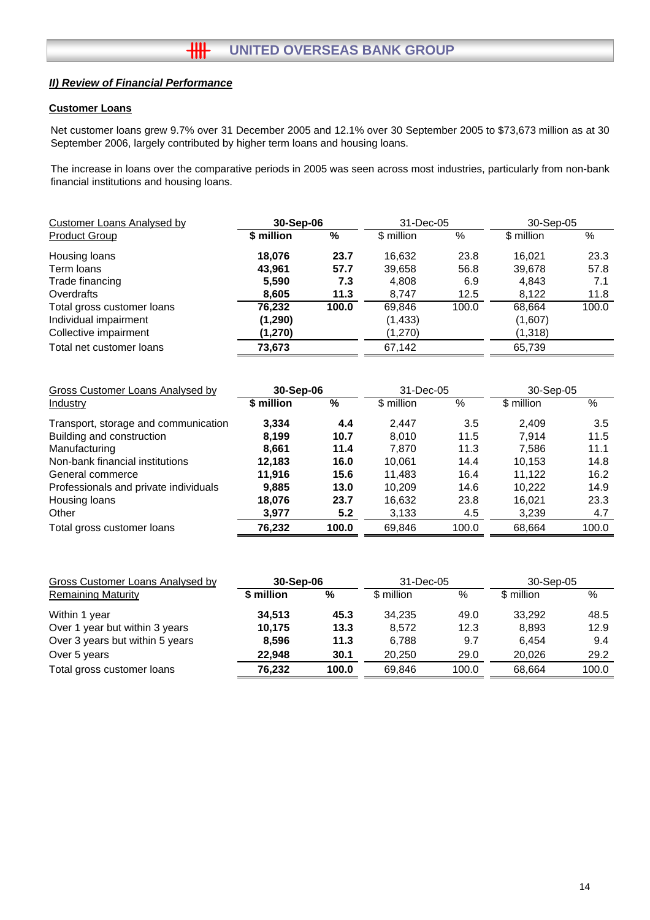## **Customer Loans**

Net customer loans grew 9.7% over 31 December 2005 and 12.1% over 30 September 2005 to \$73,673 million as at 30 September 2006, largely contributed by higher term loans and housing loans.

The increase in loans over the comparative periods in 2005 was seen across most industries, particularly from non-bank financial institutions and housing loans.

| Customer Loans Analysed by<br>30-Sep-06 |            |       | 31-Dec-05  |       | 30-Sep-05  |       |
|-----------------------------------------|------------|-------|------------|-------|------------|-------|
| <b>Product Group</b>                    | \$ million | %     | \$ million | %     | \$ million | %     |
| Housing loans                           | 18.076     | 23.7  | 16.632     | 23.8  | 16.021     | 23.3  |
| Term loans                              | 43.961     | 57.7  | 39,658     | 56.8  | 39,678     | 57.8  |
| Trade financing                         | 5,590      | 7.3   | 4,808      | 6.9   | 4,843      | 7.1   |
| Overdrafts                              | 8,605      | 11.3  | 8.747      | 12.5  | 8.122      | 11.8  |
| Total gross customer loans              | 76,232     | 100.0 | 69,846     | 100.0 | 68,664     | 100.0 |
| Individual impairment                   | (1, 290)   |       | (1, 433)   |       | (1,607)    |       |
| Collective impairment                   | (1,270)    |       | (1,270)    |       | (1,318)    |       |
| Total net customer loans                | 73,673     |       | 67,142     |       | 65,739     |       |

| Gross Customer Loans Analysed by      | 30-Sep-06  |       | 31-Dec-05  |       | 30-Sep-05  |       |
|---------------------------------------|------------|-------|------------|-------|------------|-------|
| <b>Industry</b>                       | \$ million | %     | \$ million | %     | \$ million | %     |
| Transport, storage and communication  | 3,334      | 4.4   | 2.447      | 3.5   | 2.409      | 3.5   |
| Building and construction             | 8.199      | 10.7  | 8.010      | 11.5  | 7.914      | 11.5  |
| Manufacturing                         | 8.661      | 11.4  | 7.870      | 11.3  | 7.586      | 11.1  |
| Non-bank financial institutions       | 12.183     | 16.0  | 10.061     | 14.4  | 10.153     | 14.8  |
| General commerce                      | 11.916     | 15.6  | 11.483     | 16.4  | 11.122     | 16.2  |
| Professionals and private individuals | 9.885      | 13.0  | 10.209     | 14.6  | 10.222     | 14.9  |
| Housing loans                         | 18,076     | 23.7  | 16,632     | 23.8  | 16.021     | 23.3  |
| Other                                 | 3,977      | 5.2   | 3,133      | 4.5   | 3,239      | 4.7   |
| Total gross customer loans            | 76,232     | 100.0 | 69,846     | 100.0 | 68,664     | 100.0 |

| <b>Gross Customer Loans Analysed by</b> | 30-Sep-06  |       | 31-Dec-05  |       | 30-Sep-05  |       |
|-----------------------------------------|------------|-------|------------|-------|------------|-------|
| <b>Remaining Maturity</b>               | \$ million | %     | \$ million | %     | \$ million | %     |
| Within 1 year                           | 34.513     | 45.3  | 34.235     | 49.0  | 33.292     | 48.5  |
| Over 1 year but within 3 years          | 10.175     | 13.3  | 8.572      | 12.3  | 8,893      | 12.9  |
| Over 3 years but within 5 years         | 8,596      | 11.3  | 6.788      | 9.7   | 6.454      | 9.4   |
| Over 5 years                            | 22.948     | 30.1  | 20.250     | 29.0  | 20.026     | 29.2  |
| Total gross customer loans              | 76.232     | 100.0 | 69.846     | 100.0 | 68.664     | 100.0 |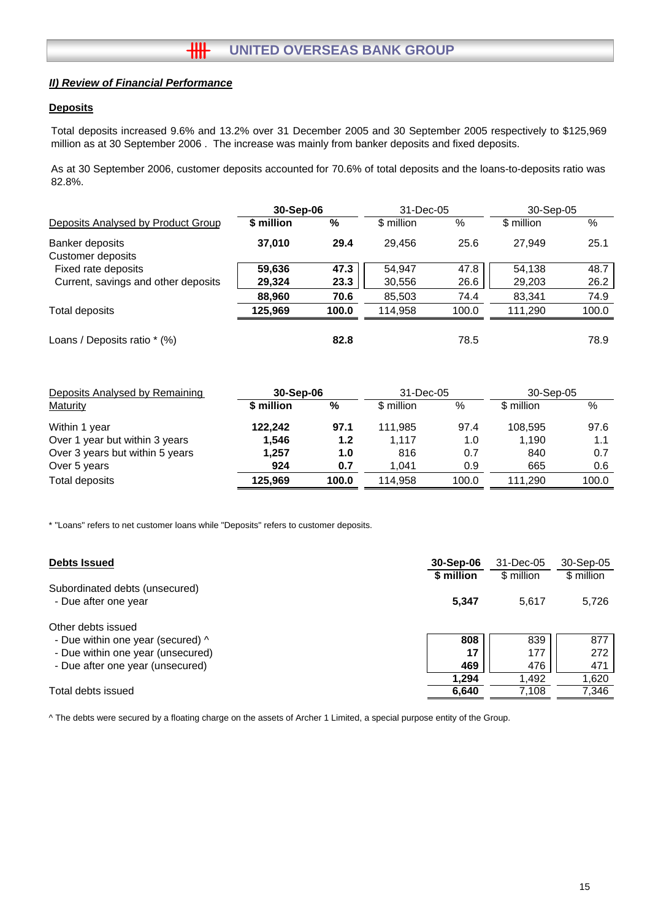#### **Deposits**

Total deposits increased 9.6% and 13.2% over 31 December 2005 and 30 September 2005 respectively to \$125,969 million as at 30 September 2006 . The increase was mainly from banker deposits and fixed deposits.

As at 30 September 2006, customer deposits accounted for 70.6% of total deposits and the loans-to-deposits ratio was 82.8%.

|                                      | 30-Sep-06  |       | 31-Dec-05  |       | 30-Sep-05  |       |
|--------------------------------------|------------|-------|------------|-------|------------|-------|
| Deposits Analysed by Product Group   | \$ million | %     | \$ million | %     | \$ million | %     |
| Banker deposits<br>Customer deposits | 37,010     | 29.4  | 29,456     | 25.6  | 27.949     | 25.1  |
| Fixed rate deposits                  | 59,636     | 47.3  | 54.947     | 47.8  | 54.138     | 48.7  |
| Current, savings and other deposits  | 29,324     | 23.3  | 30,556     | 26.6  | 29,203     | 26.2  |
|                                      | 88,960     | 70.6  | 85,503     | 74.4  | 83,341     | 74.9  |
| Total deposits                       | 125,969    | 100.0 | 114.958    | 100.0 | 111.290    | 100.0 |
| Loans / Deposits ratio * (%)         |            | 82.8  |            | 78.5  |            | 78.9  |

| Deposits Analysed by Remaining  | 30-Sep-06  |       | 31-Dec-05  |       | 30-Sep-05  |       |
|---------------------------------|------------|-------|------------|-------|------------|-------|
| <b>Maturity</b>                 | \$ million | %     | \$ million | %     | \$ million | $\%$  |
| Within 1 year                   | 122.242    | 97.1  | 111.985    | 97.4  | 108.595    | 97.6  |
| Over 1 year but within 3 years  | 1.546      | 1.2   | 1.117      | 1.0   | 1,190      | 1.1   |
| Over 3 years but within 5 years | 1.257      | 1.0   | 816        | 0.7   | 840        | 0.7   |
| Over 5 years                    | 924        | 0.7   | 1.041      | 0.9   | 665        | 0.6   |
| Total deposits                  | 125,969    | 100.0 | 114.958    | 100.0 | 111.290    | 100.0 |

\* "Loans" refers to net customer loans while "Deposits" refers to customer deposits.

| <b>Debts Issued</b>               | 30-Sep-06  | 31-Dec-05  | 30-Sep-05  |
|-----------------------------------|------------|------------|------------|
|                                   | \$ million | \$ million | \$ million |
| Subordinated debts (unsecured)    |            |            |            |
| - Due after one year              | 5,347      | 5.617      | 5,726      |
| Other debts issued                |            |            |            |
| - Due within one year (secured) ^ | 808        | 839        | 877        |
| - Due within one year (unsecured) | 17         | 177        | 272        |
| - Due after one year (unsecured)  | 469        | 476        | 471        |
|                                   | 1.294      | 1,492      | 1,620      |
| Total debts issued                | 6,640      | 7.108      | 7,346      |

^ The debts were secured by a floating charge on the assets of Archer 1 Limited, a special purpose entity of the Group.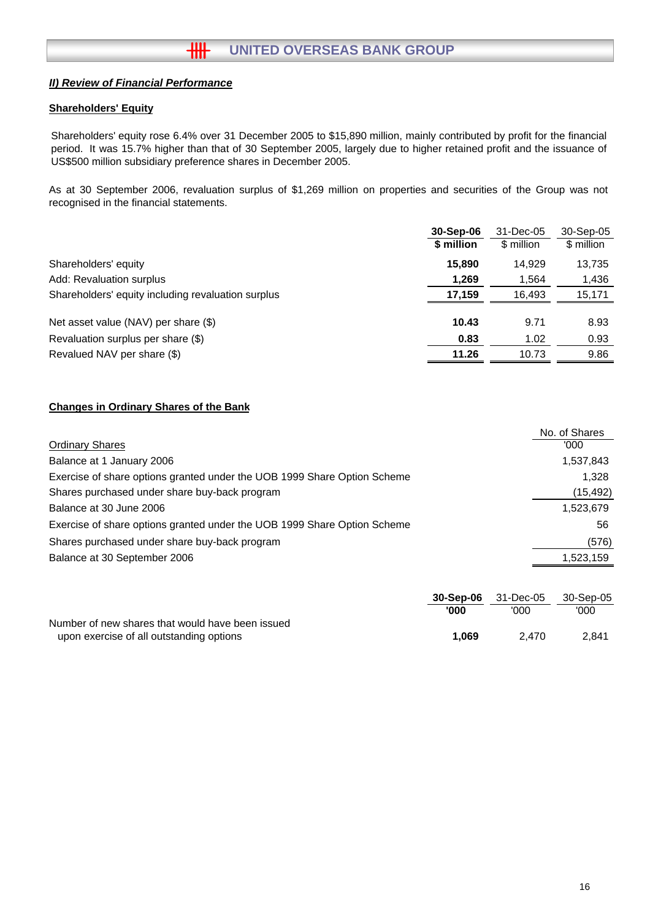#### **Shareholders' Equity**

Shareholders' equity rose 6.4% over 31 December 2005 to \$15,890 million, mainly contributed by profit for the financial period. It was 15.7% higher than that of 30 September 2005, largely due to higher retained profit and the issuance of US\$500 million subsidiary preference shares in December 2005.

As at 30 September 2006, revaluation surplus of \$1,269 million on properties and securities of the Group was not recognised in the financial statements.

|                                                    | 30-Sep-06  | 31-Dec-05  | 30-Sep-05  |
|----------------------------------------------------|------------|------------|------------|
|                                                    | \$ million | \$ million | \$ million |
| Shareholders' equity                               | 15,890     | 14.929     | 13,735     |
| Add: Revaluation surplus                           | 1,269      | 1,564      | 1,436      |
| Shareholders' equity including revaluation surplus | 17,159     | 16.493     | 15,171     |
| Net asset value (NAV) per share (\$)               | 10.43      | 9.71       | 8.93       |
| Revaluation surplus per share (\$)                 | 0.83       | 1.02       | 0.93       |
| Revalued NAV per share (\$)                        | 11.26      | 10.73      | 9.86       |

#### **Changes in Ordinary Shares of the Bank**

|                                                                          | No. of Shares |
|--------------------------------------------------------------------------|---------------|
| <b>Ordinary Shares</b>                                                   | '000          |
| Balance at 1 January 2006                                                | 1,537,843     |
| Exercise of share options granted under the UOB 1999 Share Option Scheme | 1.328         |
| Shares purchased under share buy-back program                            | (15, 492)     |
| Balance at 30 June 2006                                                  | 1,523,679     |
| Exercise of share options granted under the UOB 1999 Share Option Scheme | 56            |
| Shares purchased under share buy-back program                            | (576)         |
| Balance at 30 September 2006                                             | 1,523,159     |

|                                                  | 30-Sep-06 | 31-Dec-05 | 30-Sep-05 |
|--------------------------------------------------|-----------|-----------|-----------|
|                                                  | '000      | '000      | '000      |
| Number of new shares that would have been issued |           |           |           |
| upon exercise of all outstanding options         | 1.069     | 2.470     | 2.841     |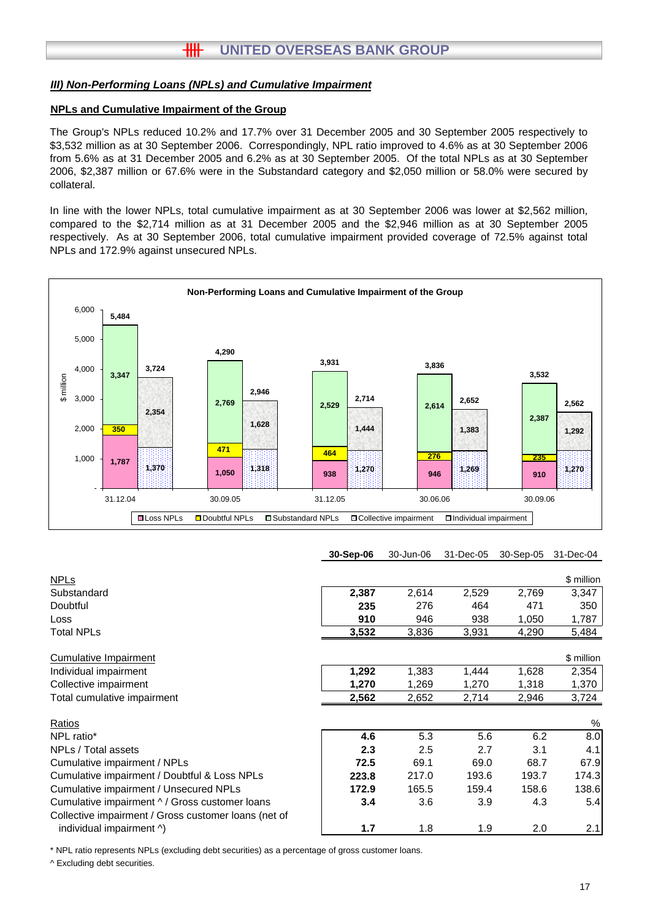# **HH UNITED OVERSEAS BANK GROUP**

#### *III) Non-Performing Loans (NPLs) and Cumulative Impairment*

#### **NPLs and Cumulative Impairment of the Group**

The Group's NPLs reduced 10.2% and 17.7% over 31 December 2005 and 30 September 2005 respectively to \$3,532 million as at 30 September 2006. Correspondingly, NPL ratio improved to 4.6% as at 30 September 2006 from 5.6% as at 31 December 2005 and 6.2% as at 30 September 2005. Of the total NPLs as at 30 September 2006, \$2,387 million or 67.6% were in the Substandard category and \$2,050 million or 58.0% were secured by collateral.

In line with the lower NPLs, total cumulative impairment as at 30 September 2006 was lower at \$2,562 million, compared to the \$2,714 million as at 31 December 2005 and the \$2,946 million as at 30 September 2005 respectively. As at 30 September 2006, total cumulative impairment provided coverage of 72.5% against total NPLs and 172.9% against unsecured NPLs.



#### **30-Sep-06** 30-Jun-06 31-Dec-05 30-Sep-05 31-Dec-04

| <b>NPLs</b>                                          |       |       |       |       | \$ million |
|------------------------------------------------------|-------|-------|-------|-------|------------|
| Substandard                                          | 2,387 | 2,614 | 2,529 | 2,769 | 3,347      |
| Doubtful                                             | 235   | 276   | 464   | 471   | 350        |
| Loss                                                 | 910   | 946   | 938   | 1,050 | 1,787      |
| <b>Total NPLs</b>                                    | 3,532 | 3,836 | 3,931 | 4,290 | 5,484      |
| <b>Cumulative Impairment</b>                         |       |       |       |       | \$ million |
| Individual impairment                                | 1,292 | 1,383 | 1,444 | 1,628 | 2,354      |
| Collective impairment                                | 1,270 | 1,269 | 1,270 | 1,318 | 1,370      |
| Total cumulative impairment                          | 2,562 | 2,652 | 2,714 | 2,946 | 3,724      |
| Ratios                                               |       |       |       |       | %          |
| NPL ratio*                                           | 4.6   | 5.3   | 5.6   | 6.2   | 8.0        |
| NPLs / Total assets                                  | 2.3   | 2.5   | 2.7   | 3.1   | 4.1        |
| Cumulative impairment / NPLs                         | 72.5  | 69.1  | 69.0  | 68.7  | 67.9       |
| Cumulative impairment / Doubtful & Loss NPLs         | 223.8 | 217.0 | 193.6 | 193.7 | 174.3      |
| Cumulative impairment / Unsecured NPLs               | 172.9 | 165.5 | 159.4 | 158.6 | 138.6      |
| Cumulative impairment ^ / Gross customer loans       | 3.4   | 3.6   | 3.9   | 4.3   | 5.4        |
| Collective impairment / Gross customer loans (net of |       |       |       |       |            |
| individual impairment ^)                             | 1.7   | 1.8   | 1.9   | 2.0   | 2.1        |
|                                                      |       |       |       |       |            |

\* NPL ratio represents NPLs (excluding debt securities) as a percentage of gross customer loans.

^ Excluding debt securities.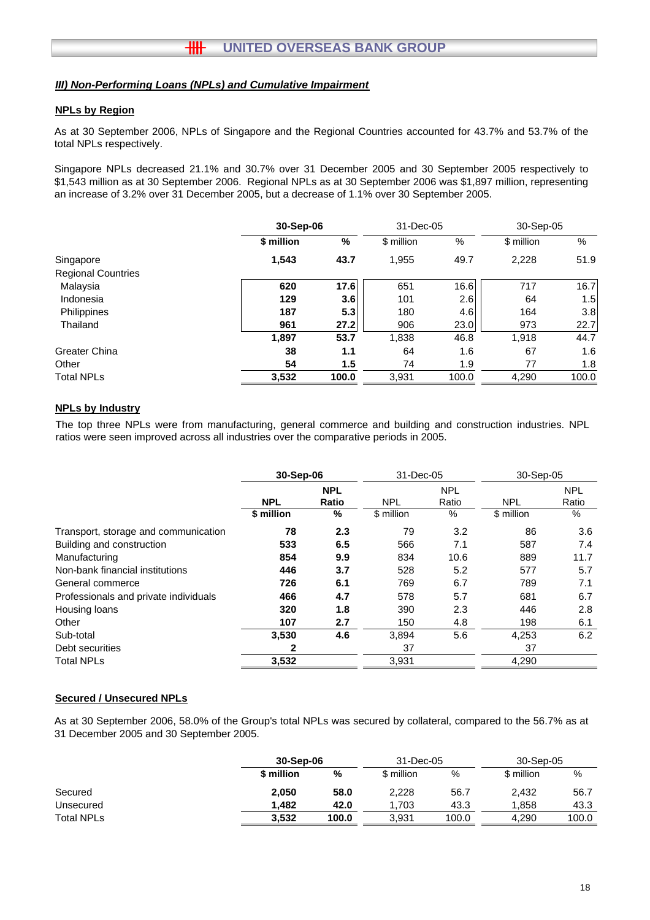#### *III) Non-Performing Loans (NPLs) and Cumulative Impairment*

#### **NPLs by Region**

As at 30 September 2006, NPLs of Singapore and the Regional Countries accounted for 43.7% and 53.7% of the total NPLs respectively.

Singapore NPLs decreased 21.1% and 30.7% over 31 December 2005 and 30 September 2005 respectively to \$1,543 million as at 30 September 2006. Regional NPLs as at 30 September 2006 was \$1,897 million, representing an increase of 3.2% over 31 December 2005, but a decrease of 1.1% over 30 September 2005.

|                           |            | 30-Sep-06        |            | 31-Dec-05 | 30-Sep-05  |       |
|---------------------------|------------|------------------|------------|-----------|------------|-------|
|                           | \$ million | %                | \$ million | %         | \$ million | %     |
| Singapore                 | 1,543      | 43.7             | 1,955      | 49.7      | 2,228      | 51.9  |
| <b>Regional Countries</b> |            |                  |            |           |            |       |
| Malaysia                  | 620        | 17.6             | 651        | 16.6      | 717        | 16.7  |
| Indonesia                 | 129        | 3.6 <sub>l</sub> | 101        | 2.6       | 64         | 1.5   |
| Philippines               | 187        | 5.3              | 180        | 4.6       | 164        | 3.8   |
| Thailand                  | 961        | 27.2             | 906        | 23.0      | 973        | 22.7  |
|                           | 1,897      | 53.7             | 1,838      | 46.8      | 1,918      | 44.7  |
| Greater China             | 38         | 1.1              | 64         | 1.6       | 67         | 1.6   |
| Other                     | 54         | 1.5              | 74         | 1.9       | 77         | 1.8   |
| <b>Total NPLs</b>         | 3,532      | 100.0            | 3,931      | 100.0     | 4,290      | 100.0 |

#### **NPLs by Industry**

The top three NPLs were from manufacturing, general commerce and building and construction industries. NPL ratios were seen improved across all industries over the comparative periods in 2005.

|                                       | 30-Sep-06                         |     | 31-Dec-05  |                     | 30-Sep-05  |                     |
|---------------------------------------|-----------------------------------|-----|------------|---------------------|------------|---------------------|
|                                       | <b>NPL</b><br><b>NPL</b><br>Ratio |     | <b>NPL</b> | <b>NPL</b><br>Ratio | <b>NPL</b> | <b>NPL</b><br>Ratio |
|                                       | \$ million                        | %   | \$ million | $\%$                | \$ million | %                   |
| Transport, storage and communication  | 78                                | 2.3 | 79         | 3.2                 | 86         | 3.6                 |
| Building and construction             | 533                               | 6.5 | 566        | 7.1                 | 587        | 7.4                 |
| Manufacturing                         | 854                               | 9.9 | 834        | 10.6                | 889        | 11.7                |
| Non-bank financial institutions       | 446                               | 3.7 | 528        | 5.2                 | 577        | 5.7                 |
| General commerce                      | 726                               | 6.1 | 769        | 6.7                 | 789        | 7.1                 |
| Professionals and private individuals | 466                               | 4.7 | 578        | 5.7                 | 681        | 6.7                 |
| Housing loans                         | 320                               | 1.8 | 390        | 2.3                 | 446        | 2.8                 |
| Other                                 | 107                               | 2.7 | 150        | 4.8                 | 198        | 6.1                 |
| Sub-total                             | 3,530                             | 4.6 | 3,894      | 5.6                 | 4,253      | 6.2                 |
| Debt securities                       | 2                                 |     | 37         |                     | 37         |                     |
| <b>Total NPLs</b>                     | 3,532                             |     | 3,931      |                     | 4,290      |                     |

#### **Secured / Unsecured NPLs**

As at 30 September 2006, 58.0% of the Group's total NPLs was secured by collateral, compared to the 56.7% as at 31 December 2005 and 30 September 2005.

|                   |            | 30-Sep-06 |            | 31-Dec-05 |            | 30-Sep-05 |  |
|-------------------|------------|-----------|------------|-----------|------------|-----------|--|
|                   | \$ million | %         | \$ million | %         | \$ million | %         |  |
| Secured           | 2.050      | 58.0      | 2,228      | 56.7      | 2,432      | 56.7      |  |
| Unsecured         | 1.482      | 42.0      | .703       | 43.3      | 1.858      | 43.3      |  |
| <b>Total NPLs</b> | 3,532      | 100.0     | 3.931      | 100.0     | 4.290      | 100.0     |  |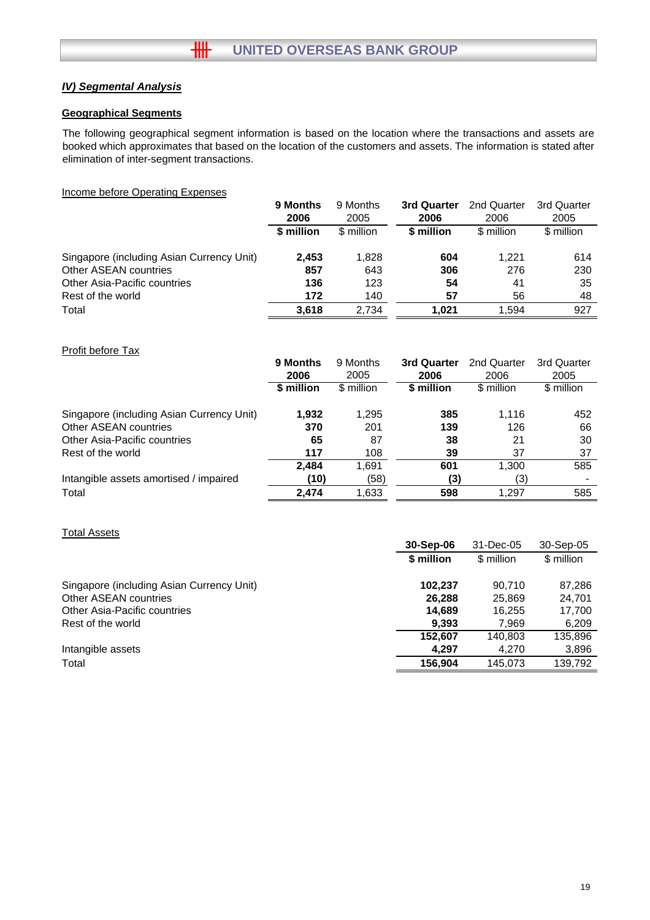## *IV) Segmental Analysis*

#### **Geographical Segments**

The following geographical segment information is based on the location where the transactions and assets are booked which approximates that based on the location of the customers and assets. The information is stated after elimination of inter-segment transactions.

#### Income before Operating Expenses

|                                           | 9 Months   | 9 Months   | 3rd Quarter | 2nd Quarter | 3rd Quarter |
|-------------------------------------------|------------|------------|-------------|-------------|-------------|
|                                           | 2006       | 2005       | 2006        | 2006        | 2005        |
|                                           | \$ million | \$ million | \$ million  | \$ million  | \$ million  |
| Singapore (including Asian Currency Unit) | 2.453      | 1,828      | 604         | 1.221       | 614         |
| Other ASEAN countries                     | 857        | 643        | 306         | 276         | 230         |
| Other Asia-Pacific countries              | 136        | 123        | 54          | 41          | 35          |
| Rest of the world                         | 172        | 140        | 57          | 56          | 48          |
| Total                                     | 3.618      | 2.734      | 1.021       | 1.594       | 927         |

#### Profit before Tax

|                                           | 9 Months   | 9 Months   | 3rd Quarter | 2nd Quarter | 3rd Quarter |
|-------------------------------------------|------------|------------|-------------|-------------|-------------|
|                                           | 2006       | 2005       | 2006        | 2006        | 2005        |
|                                           | \$ million | \$ million | \$ million  | \$ million  | \$ million  |
| Singapore (including Asian Currency Unit) | 1,932      | 1,295      | 385         | 1,116       | 452         |
| Other ASEAN countries                     | 370        | 201        | 139         | 126         | 66          |
| <b>Other Asia-Pacific countries</b>       | 65         | 87         | 38          | 21          | 30          |
| Rest of the world                         | 117        | 108        | 39          | 37          | 37          |
|                                           | 2.484      | 1,691      | 601         | 1,300       | 585         |
| Intangible assets amortised / impaired    | (10)       | (58)       | (3)         | (3)         |             |
| Total                                     | 2.474      | 1,633      | 598         | 1,297       | 585         |

#### Total Assets

|                                           | 30-Sep-06  | 31-Dec-05  | 30-Sep-05  |
|-------------------------------------------|------------|------------|------------|
|                                           | \$ million | \$ million | \$ million |
| Singapore (including Asian Currency Unit) | 102,237    | 90.710     | 87,286     |
| Other ASEAN countries                     | 26.288     | 25,869     | 24,701     |
| Other Asia-Pacific countries              | 14,689     | 16,255     | 17,700     |
| Rest of the world                         | 9,393      | 7,969      | 6,209      |
|                                           | 152.607    | 140,803    | 135,896    |
| Intangible assets                         | 4,297      | 4,270      | 3,896      |
| Total                                     | 156.904    | 145,073    | 139,792    |
|                                           |            |            |            |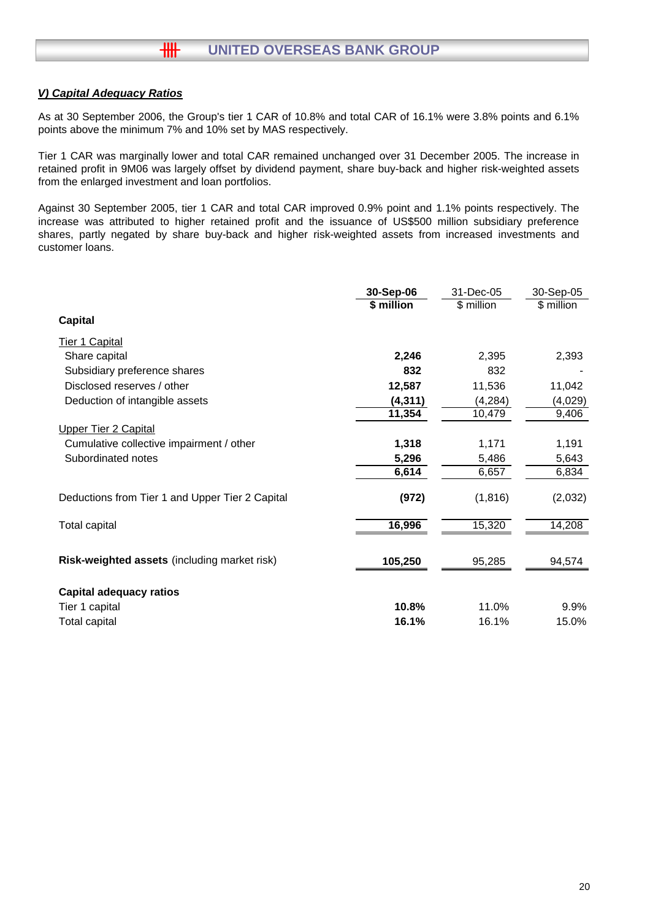#### *V) Capital Adequacy Ratios*

 $#$ 

As at 30 September 2006, the Group's tier 1 CAR of 10.8% and total CAR of 16.1% were 3.8% points and 6.1% points above the minimum 7% and 10% set by MAS respectively.

Tier 1 CAR was marginally lower and total CAR remained unchanged over 31 December 2005. The increase in retained profit in 9M06 was largely offset by dividend payment, share buy-back and higher risk-weighted assets from the enlarged investment and loan portfolios.

Against 30 September 2005, tier 1 CAR and total CAR improved 0.9% point and 1.1% points respectively. The increase was attributed to higher retained profit and the issuance of US\$500 million subsidiary preference shares, partly negated by share buy-back and higher risk-weighted assets from increased investments and customer loans.

|                                                 | 30-Sep-06  | 31-Dec-05  | 30-Sep-05  |
|-------------------------------------------------|------------|------------|------------|
|                                                 | \$ million | \$ million | \$ million |
| <b>Capital</b>                                  |            |            |            |
| <b>Tier 1 Capital</b>                           |            |            |            |
| Share capital                                   | 2,246      | 2,395      | 2,393      |
| Subsidiary preference shares                    | 832        | 832        |            |
| Disclosed reserves / other                      | 12,587     | 11,536     | 11,042     |
| Deduction of intangible assets                  | (4,311)    | (4,284)    | (4,029)    |
|                                                 | 11,354     | 10,479     | 9,406      |
| <b>Upper Tier 2 Capital</b>                     |            |            |            |
| Cumulative collective impairment / other        | 1,318      | 1,171      | 1,191      |
| Subordinated notes                              | 5,296      | 5,486      | 5,643      |
|                                                 | 6,614      | 6,657      | 6,834      |
| Deductions from Tier 1 and Upper Tier 2 Capital | (972)      | (1, 816)   | (2,032)    |
| Total capital                                   | 16,996     | 15,320     | 14,208     |
|                                                 |            |            |            |
| Risk-weighted assets (including market risk)    | 105,250    | 95,285     | 94,574     |
| Capital adequacy ratios                         |            |            |            |
| Tier 1 capital                                  | 10.8%      | 11.0%      | 9.9%       |
| Total capital                                   | 16.1%      | 16.1%      | 15.0%      |
|                                                 |            |            |            |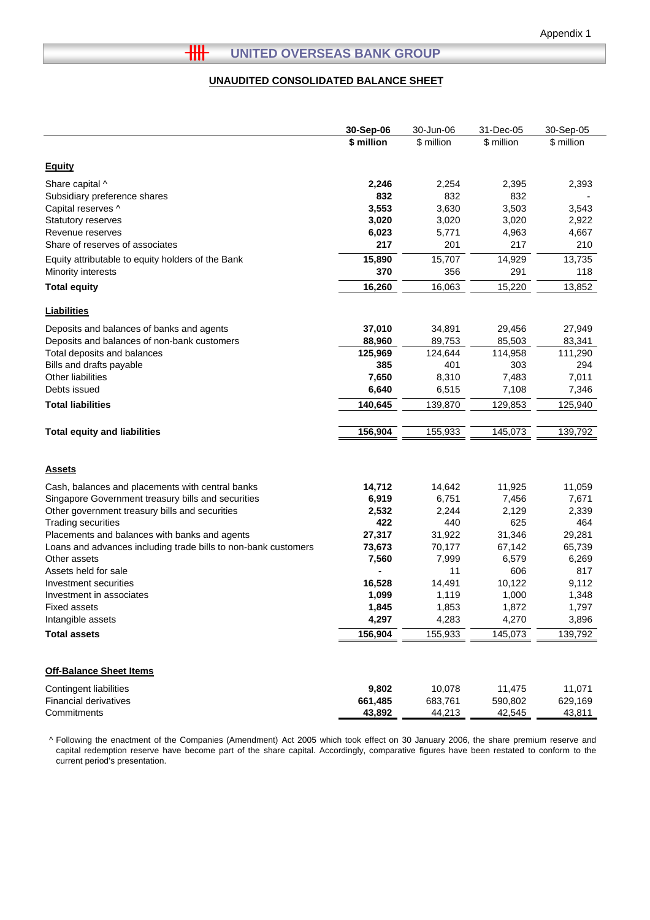L

#### **UNAUDITED CONSOLIDATED BALANCE SHEET**

|                                                                | 30-Sep-06  | 30-Jun-06  | 31-Dec-05  | 30-Sep-05  |
|----------------------------------------------------------------|------------|------------|------------|------------|
|                                                                | \$ million | \$ million | \$ million | \$ million |
| <b>Equity</b>                                                  |            |            |            |            |
| Share capital ^                                                | 2,246      | 2,254      | 2,395      | 2,393      |
| Subsidiary preference shares                                   | 832        | 832        | 832        |            |
| Capital reserves ^                                             | 3,553      | 3,630      | 3,503      | 3,543      |
| <b>Statutory reserves</b>                                      | 3,020      | 3,020      | 3,020      | 2,922      |
| Revenue reserves                                               | 6,023      | 5,771      | 4,963      | 4,667      |
| Share of reserves of associates                                | 217        | 201        | 217        | 210        |
| Equity attributable to equity holders of the Bank              | 15,890     | 15,707     | 14,929     | 13,735     |
| Minority interests                                             | 370        | 356        | 291        | 118        |
| <b>Total equity</b>                                            | 16,260     | 16,063     | 15,220     | 13,852     |
| <b>Liabilities</b>                                             |            |            |            |            |
| Deposits and balances of banks and agents                      | 37,010     | 34,891     | 29,456     | 27,949     |
| Deposits and balances of non-bank customers                    | 88,960     | 89,753     | 85,503     | 83,341     |
| Total deposits and balances                                    | 125,969    | 124,644    | 114,958    | 111,290    |
| Bills and drafts payable                                       | 385        | 401        | 303        | 294        |
| Other liabilities                                              | 7,650      | 8,310      | 7,483      | 7,011      |
| Debts issued                                                   | 6,640      | 6,515      | 7,108      | 7,346      |
| <b>Total liabilities</b>                                       | 140,645    | 139,870    | 129,853    | 125,940    |
| <b>Total equity and liabilities</b>                            | 156,904    | 155,933    | 145,073    | 139,792    |
|                                                                |            |            |            |            |
| <b>Assets</b>                                                  |            |            |            |            |
| Cash, balances and placements with central banks               | 14,712     | 14,642     | 11,925     | 11,059     |
| Singapore Government treasury bills and securities             | 6,919      | 6,751      | 7,456      | 7,671      |
| Other government treasury bills and securities                 | 2,532      | 2,244      | 2,129      | 2,339      |
| <b>Trading securities</b>                                      | 422        | 440        | 625        | 464        |
| Placements and balances with banks and agents                  | 27,317     | 31,922     | 31,346     | 29,281     |
| Loans and advances including trade bills to non-bank customers | 73,673     | 70,177     | 67,142     | 65,739     |
| Other assets                                                   | 7,560      | 7,999      | 6,579      | 6,269      |
| Assets held for sale                                           |            | 11         | 606        | 817        |
| Investment securities                                          | 16,528     | 14,491     | 10,122     | 9,112      |
| Investment in associates                                       | 1,099      | 1,119      | 1,000      | 1,348      |
| <b>Fixed assets</b>                                            | 1,845      | 1,853      | 1,872      | 1,797      |
| Intangible assets                                              | 4,297      | 4,283      | 4,270      | 3,896      |
| <b>Total assets</b>                                            | 156,904    | 155,933    | 145,073    | 139,792    |
|                                                                |            |            |            |            |
| <b>Off-Balance Sheet Items</b>                                 |            |            |            |            |
| Contingent liabilities                                         | 9,802      | 10,078     | 11,475     | 11,071     |
| <b>Financial derivatives</b>                                   | 661,485    | 683,761    | 590,802    | 629,169    |
| Commitments                                                    | 43,892     | 44,213     | 42,545     | 43,811     |

^ Following the enactment of the Companies (Amendment) Act 2005 which took effect on 30 January 2006, the share premium reserve and capital redemption reserve have become part of the share capital. Accordingly, comparative figures have been restated to conform to the current period's presentation.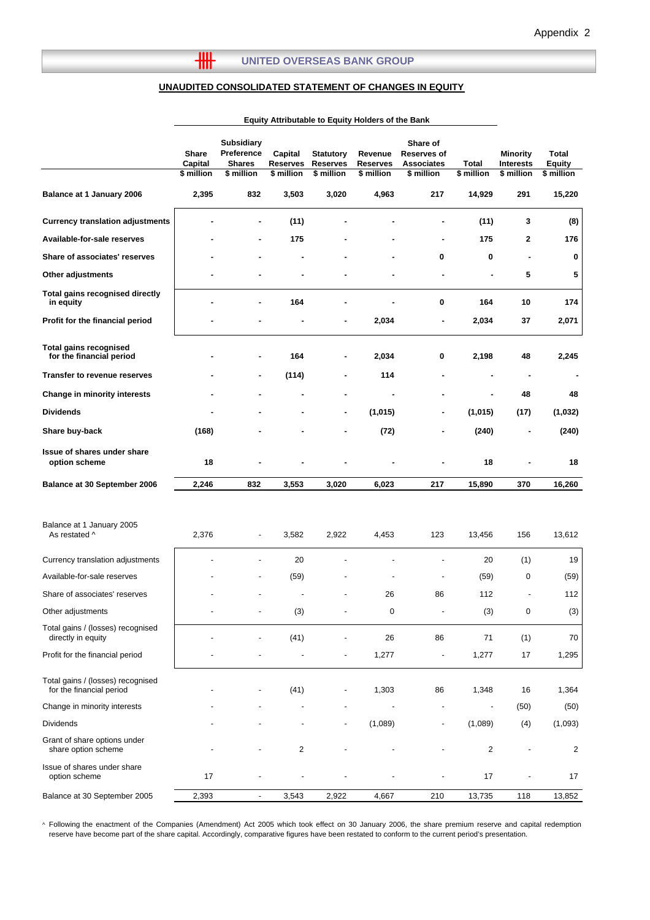#### **UNAUDITED CONSOLIDATED STATEMENT OF CHANGES IN EQUITY**

 $\overline{\mathbf{H}}$ 

|                                                               | Equity Attributable to Equity Holders of the Bank |                                                                |                                          |                                                   |                                   |                                                            |                          |                                                   |                                      |
|---------------------------------------------------------------|---------------------------------------------------|----------------------------------------------------------------|------------------------------------------|---------------------------------------------------|-----------------------------------|------------------------------------------------------------|--------------------------|---------------------------------------------------|--------------------------------------|
|                                                               | <b>Share</b><br>Capital<br>\$ million             | <b>Subsidiary</b><br>Preference<br><b>Shares</b><br>\$ million | Capital<br><b>Reserves</b><br>\$ million | <b>Statutory</b><br><b>Reserves</b><br>\$ million | Revenue<br>Reserves<br>\$ million | Share of<br>Reserves of<br><b>Associates</b><br>\$ million | Total<br>\$ million      | <b>Minority</b><br><b>Interests</b><br>\$ million | Total<br><b>Equity</b><br>\$ million |
| Balance at 1 January 2006                                     | 2,395                                             | 832                                                            | 3,503                                    | 3,020                                             | 4,963                             | 217                                                        | 14,929                   | 291                                               | 15,220                               |
| <b>Currency translation adjustments</b>                       |                                                   | $\blacksquare$                                                 | (11)                                     |                                                   |                                   |                                                            | (11)                     | 3                                                 | (8)                                  |
| Available-for-sale reserves                                   |                                                   |                                                                | 175                                      |                                                   |                                   |                                                            | 175                      | 2                                                 | 176                                  |
| Share of associates' reserves                                 |                                                   |                                                                |                                          |                                                   |                                   | 0                                                          | $\mathbf 0$              | ÷                                                 | 0                                    |
| Other adjustments                                             |                                                   |                                                                |                                          |                                                   |                                   |                                                            |                          | 5                                                 | 5                                    |
| Total gains recognised directly<br>in equity                  |                                                   |                                                                | 164                                      |                                                   |                                   | 0                                                          | 164                      | 10                                                | 174                                  |
| Profit for the financial period                               |                                                   |                                                                |                                          |                                                   | 2,034                             |                                                            | 2,034                    | 37                                                | 2,071                                |
| <b>Total gains recognised</b><br>for the financial period     |                                                   |                                                                | 164                                      |                                                   | 2,034                             | 0                                                          | 2,198                    | 48                                                | 2,245                                |
| <b>Transfer to revenue reserves</b>                           |                                                   |                                                                | (114)                                    |                                                   | 114                               |                                                            |                          | ä,                                                |                                      |
| <b>Change in minority interests</b>                           |                                                   |                                                                |                                          |                                                   |                                   |                                                            |                          | 48                                                | 48                                   |
| <b>Dividends</b>                                              |                                                   |                                                                |                                          |                                                   | (1,015)                           |                                                            | (1,015)                  | (17)                                              | (1,032)                              |
| Share buy-back                                                | (168)                                             |                                                                |                                          |                                                   | (72)                              |                                                            | (240)                    |                                                   | (240)                                |
| <b>Issue of shares under share</b><br>option scheme           | 18                                                |                                                                |                                          |                                                   |                                   |                                                            | 18                       |                                                   | 18                                   |
| <b>Balance at 30 September 2006</b>                           | 2,246                                             | 832                                                            | 3,553                                    | 3,020                                             | 6,023                             | 217                                                        | 15,890                   | 370                                               | 16,260                               |
| Balance at 1 January 2005<br>As restated ^                    | 2,376                                             | $\overline{\phantom{a}}$                                       | 3,582                                    | 2,922                                             | 4,453                             | 123                                                        | 13,456                   | 156                                               | 13,612                               |
| Currency translation adjustments                              |                                                   |                                                                | 20                                       |                                                   |                                   |                                                            | 20                       | (1)                                               | 19                                   |
| Available-for-sale reserves                                   |                                                   |                                                                | (59)                                     |                                                   |                                   |                                                            | (59)                     | 0                                                 | (59)                                 |
| Share of associates' reserves                                 |                                                   |                                                                |                                          |                                                   | 26                                | 86                                                         | 112                      | $\overline{a}$                                    | 112                                  |
| Other adjustments                                             |                                                   |                                                                | (3)                                      |                                                   | 0                                 |                                                            | (3)                      | 0                                                 | (3)                                  |
| Total gains / (losses) recognised<br>directly in equity       |                                                   |                                                                | (41)                                     |                                                   | 26                                | 86                                                         | 71                       | (1)                                               | 70                                   |
| Profit for the financial period                               |                                                   |                                                                |                                          |                                                   | 1,277                             | $\overline{a}$                                             | 1,277                    | 17                                                | 1,295                                |
| Total gains / (losses) recognised<br>for the financial period |                                                   |                                                                | (41)                                     |                                                   | 1,303                             | 86                                                         | 1,348                    | 16                                                | 1,364                                |
| Change in minority interests                                  |                                                   |                                                                |                                          |                                                   |                                   | $\overline{\phantom{a}}$                                   | $\overline{\phantom{a}}$ | (50)                                              | (50)                                 |
| <b>Dividends</b>                                              |                                                   |                                                                |                                          | $\overline{a}$                                    | (1,089)                           |                                                            | (1,089)                  | (4)                                               | (1,093)                              |
| Grant of share options under<br>share option scheme           |                                                   |                                                                | 2                                        |                                                   |                                   |                                                            | 2                        |                                                   | 2                                    |
| Issue of shares under share<br>option scheme                  | 17                                                |                                                                |                                          |                                                   |                                   |                                                            | 17                       |                                                   | 17                                   |
| Balance at 30 September 2005                                  | 2,393                                             | $\overline{\phantom{a}}$                                       | 3,543                                    | 2,922                                             | 4,667                             | 210                                                        | 13,735                   | 118                                               | 13,852                               |

^ Following the enactment of the Companies (Amendment) Act 2005 which took effect on 30 January 2006, the share premium reserve and capital redemption reserve have become part of the share capital. Accordingly, comparative figures have been restated to conform to the current period's presentation.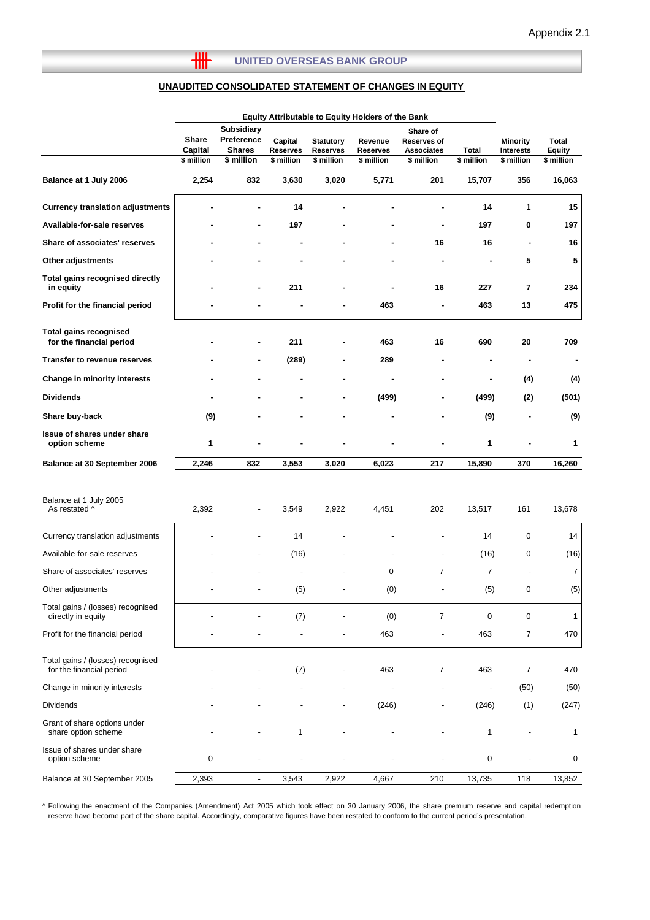#### **UNITED OVERSEAS BANK GROUP**

 $\overline{\mathbf{H}}$ 

#### **UNAUDITED CONSOLIDATED STATEMENT OF CHANGES IN EQUITY**

|                                                               | Equity Attributable to Equity Holders of the Bank |                                                                |                                          |                                                   |                                   |                                                                   |                          |                                                   |                                      |
|---------------------------------------------------------------|---------------------------------------------------|----------------------------------------------------------------|------------------------------------------|---------------------------------------------------|-----------------------------------|-------------------------------------------------------------------|--------------------------|---------------------------------------------------|--------------------------------------|
|                                                               | <b>Share</b><br>Capital<br>\$ million             | <b>Subsidiary</b><br>Preference<br><b>Shares</b><br>\$ million | Capital<br><b>Reserves</b><br>\$ million | <b>Statutory</b><br><b>Reserves</b><br>\$ million | Revenue<br>Reserves<br>\$ million | Share of<br><b>Reserves of</b><br><b>Associates</b><br>\$ million | Total<br>\$ million      | <b>Minority</b><br><b>Interests</b><br>\$ million | Total<br><b>Equity</b><br>\$ million |
| Balance at 1 July 2006                                        | 2,254                                             | 832                                                            | 3,630                                    | 3,020                                             | 5,771                             | 201                                                               | 15,707                   | 356                                               | 16,063                               |
| <b>Currency translation adjustments</b>                       |                                                   |                                                                | 14                                       |                                                   |                                   |                                                                   | 14                       | 1                                                 | 15                                   |
| Available-for-sale reserves                                   |                                                   |                                                                | 197                                      |                                                   |                                   | ä,                                                                | 197                      | 0                                                 | 197                                  |
| Share of associates' reserves                                 |                                                   |                                                                |                                          |                                                   |                                   | 16                                                                | 16                       | $\blacksquare$                                    | 16                                   |
| Other adjustments                                             |                                                   |                                                                |                                          |                                                   |                                   | ٠                                                                 |                          | 5                                                 | 5                                    |
| <b>Total gains recognised directly</b><br>in equity           |                                                   | ٠                                                              | 211                                      |                                                   |                                   | 16                                                                | 227                      | $\overline{\mathbf{r}}$                           | 234                                  |
| Profit for the financial period                               |                                                   |                                                                |                                          |                                                   | 463                               | ä,                                                                | 463                      | 13                                                | 475                                  |
| <b>Total gains recognised</b><br>for the financial period     |                                                   |                                                                | 211                                      |                                                   | 463                               | 16                                                                | 690                      | 20                                                | 709                                  |
| Transfer to revenue reserves                                  |                                                   |                                                                | (289)                                    |                                                   | 289                               |                                                                   | ٠                        | ٠                                                 | ٠                                    |
| <b>Change in minority interests</b>                           |                                                   |                                                                |                                          |                                                   | ٠                                 | ۰                                                                 | $\blacksquare$           | (4)                                               | (4)                                  |
| <b>Dividends</b>                                              |                                                   |                                                                |                                          |                                                   | (499)                             | -                                                                 | (499)                    | (2)                                               | (501)                                |
| Share buy-back                                                | (9)                                               |                                                                |                                          |                                                   |                                   | ä,                                                                | (9)                      | ä,                                                | (9)                                  |
| Issue of shares under share<br>option scheme                  | 1                                                 |                                                                |                                          |                                                   |                                   |                                                                   | 1                        |                                                   | 1                                    |
| Balance at 30 September 2006                                  | 2,246                                             | 832                                                            | 3,553                                    | 3,020                                             | 6,023                             | 217                                                               | 15,890                   | 370                                               | 16,260                               |
| Balance at 1 July 2005<br>As restated ^                       | 2,392                                             | -                                                              | 3,549                                    | 2,922                                             | 4,451                             | 202                                                               | 13,517                   | 161                                               | 13,678                               |
| Currency translation adjustments                              |                                                   |                                                                | 14                                       |                                                   |                                   |                                                                   | 14                       | 0                                                 | 14                                   |
| Available-for-sale reserves                                   |                                                   |                                                                | (16)                                     |                                                   |                                   | $\overline{\phantom{0}}$                                          | (16)                     | 0                                                 | (16)                                 |
| Share of associates' reserves                                 |                                                   |                                                                |                                          |                                                   | $\mathbf 0$                       | $\overline{7}$                                                    | $\overline{7}$           | $\overline{\phantom{a}}$                          | 7                                    |
| Other adjustments                                             |                                                   |                                                                | (5)                                      |                                                   | (0)                               | $\overline{\phantom{0}}$                                          | (5)                      | $\mathbf 0$                                       | (5)                                  |
| Total gains / (losses) recognised<br>directly in equity       |                                                   |                                                                | (7)                                      |                                                   | (0)                               | $\overline{7}$                                                    | 0                        | 0                                                 | $\mathbf{1}$                         |
| Profit for the financial period                               |                                                   |                                                                |                                          |                                                   | 463                               | $\overline{\phantom{0}}$                                          | 463                      | $\overline{7}$                                    | 470                                  |
| Total gains / (losses) recognised<br>for the financial period |                                                   |                                                                | (7)                                      |                                                   | 463                               | $\overline{7}$                                                    | 463                      | $\overline{7}$                                    | 470                                  |
| Change in minority interests                                  |                                                   |                                                                |                                          |                                                   | $\overline{a}$                    | $\overline{\phantom{a}}$                                          | $\overline{\phantom{a}}$ | (50)                                              | (50)                                 |
| <b>Dividends</b>                                              |                                                   |                                                                |                                          |                                                   | (246)                             | $\overline{\phantom{0}}$                                          | (246)                    | (1)                                               | (247)                                |
| Grant of share options under<br>share option scheme           |                                                   |                                                                | 1                                        |                                                   |                                   | $\overline{a}$                                                    | 1                        | $\overline{a}$                                    | 1                                    |
| Issue of shares under share<br>option scheme                  | $\pmb{0}$                                         |                                                                |                                          |                                                   |                                   |                                                                   | $\mathbf 0$              |                                                   | 0                                    |
| Balance at 30 September 2005                                  | 2,393                                             | $\overline{\phantom{a}}$                                       | 3,543                                    | 2,922                                             | 4,667                             | 210                                                               | 13,735                   | 118                                               | 13,852                               |

^ Following the enactment of the Companies (Amendment) Act 2005 which took effect on 30 January 2006, the share premium reserve and capital redemption reserve have become part of the share capital. Accordingly, comparative figures have been restated to conform to the current period's presentation.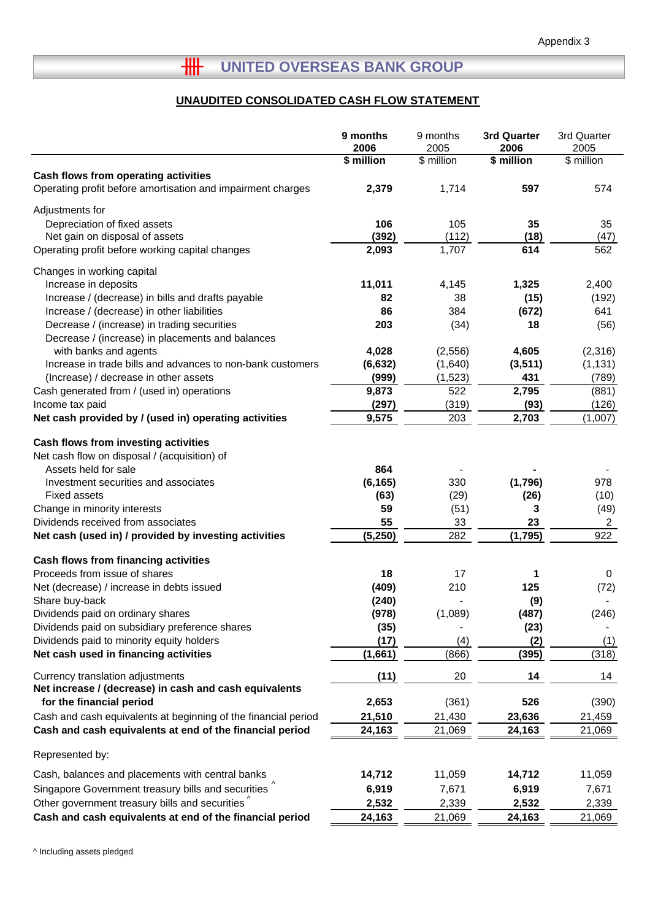# **HH UNITED OVERSEAS BANK GROUP**

# **UNAUDITED CONSOLIDATED CASH FLOW STATEMENT**

|                                                                | 9 months<br>2006 | 9 months<br>2005 | 3rd Quarter<br>2006 | 3rd Quarter<br>2005 |
|----------------------------------------------------------------|------------------|------------------|---------------------|---------------------|
|                                                                | \$ million       | \$ million       | \$ million          | \$ million          |
| Cash flows from operating activities                           |                  |                  |                     |                     |
| Operating profit before amortisation and impairment charges    | 2,379            | 1,714            | 597                 | 574                 |
| Adjustments for                                                |                  |                  |                     |                     |
| Depreciation of fixed assets                                   | 106              | 105              | 35                  | 35                  |
| Net gain on disposal of assets                                 | (392)            | (112)            | (18)                | (47)                |
| Operating profit before working capital changes                | 2,093            | 1,707            | 614                 | 562                 |
| Changes in working capital                                     |                  |                  |                     |                     |
| Increase in deposits                                           | 11,011           | 4,145            | 1,325               | 2,400               |
| Increase / (decrease) in bills and drafts payable              | 82               | 38               | (15)                | (192)               |
| Increase / (decrease) in other liabilities                     | 86               | 384              | (672)               | 641                 |
| Decrease / (increase) in trading securities                    | 203              | (34)             | 18                  | (56)                |
| Decrease / (increase) in placements and balances               |                  |                  |                     |                     |
| with banks and agents                                          | 4,028            | (2,556)          | 4,605               | (2,316)             |
| Increase in trade bills and advances to non-bank customers     | (6, 632)         | (1,640)          | (3, 511)            | (1, 131)            |
| (Increase) / decrease in other assets                          | (999)            | (1,523)          | 431                 | (789)               |
| Cash generated from / (used in) operations                     | 9,873            | 522              | 2,795               | (881)               |
| Income tax paid                                                | (297)            | (319)            | (93)                | (126)               |
| Net cash provided by / (used in) operating activities          | 9,575            | 203              | 2,703               | (1,007)             |
| Cash flows from investing activities                           |                  |                  |                     |                     |
| Net cash flow on disposal / (acquisition) of                   |                  |                  |                     |                     |
| Assets held for sale                                           | 864              |                  |                     |                     |
| Investment securities and associates                           | (6, 165)         | 330              | (1,796)             | 978                 |
| <b>Fixed assets</b>                                            | (63)             | (29)             | (26)                | (10)                |
| Change in minority interests                                   | 59               | (51)             | 3                   | (49)                |
| Dividends received from associates                             | 55               | 33               | 23                  | $\overline{2}$      |
| Net cash (used in) / provided by investing activities          | (5, 250)         | 282              | (1,795)             | 922                 |
| Cash flows from financing activities                           |                  |                  |                     |                     |
| Proceeds from issue of shares                                  | 18               | 17               | 1                   | 0                   |
| Net (decrease) / increase in debts issued                      | (409)            | 210              | 125                 | (72)                |
| Share buy-back                                                 | (240)            |                  | (9)                 |                     |
| Dividends paid on ordinary shares                              | (978)            | (1,089)          | (487)               | (246)               |
| Dividends paid on subsidiary preference shares                 | (35)             |                  | (23)                |                     |
| Dividends paid to minority equity holders                      | (17)             | (4)              | (2)                 | (1)                 |
| Net cash used in financing activities                          | (1,661)          | (866)            | (395)               | (318)               |
| Currency translation adjustments                               | (11)             | 20               | 14                  | 14                  |
| Net increase / (decrease) in cash and cash equivalents         |                  |                  |                     |                     |
| for the financial period                                       | 2,653            | (361)            | 526                 | (390)               |
| Cash and cash equivalents at beginning of the financial period | 21,510           | 21,430           | 23,636              | 21,459              |
| Cash and cash equivalents at end of the financial period       | 24,163           | 21,069           | 24,163              | 21,069              |
| Represented by:                                                |                  |                  |                     |                     |
| Cash, balances and placements with central banks               | 14,712           | 11,059           | 14,712              | 11,059              |
| Singapore Government treasury bills and securities             | 6,919            | 7,671            | 6,919               | 7,671               |
| Other government treasury bills and securities                 | 2,532            | 2,339            | 2,532               | 2,339               |
| Cash and cash equivalents at end of the financial period       | 24,163           | 21,069           | 24,163              | 21,069              |
|                                                                |                  |                  |                     |                     |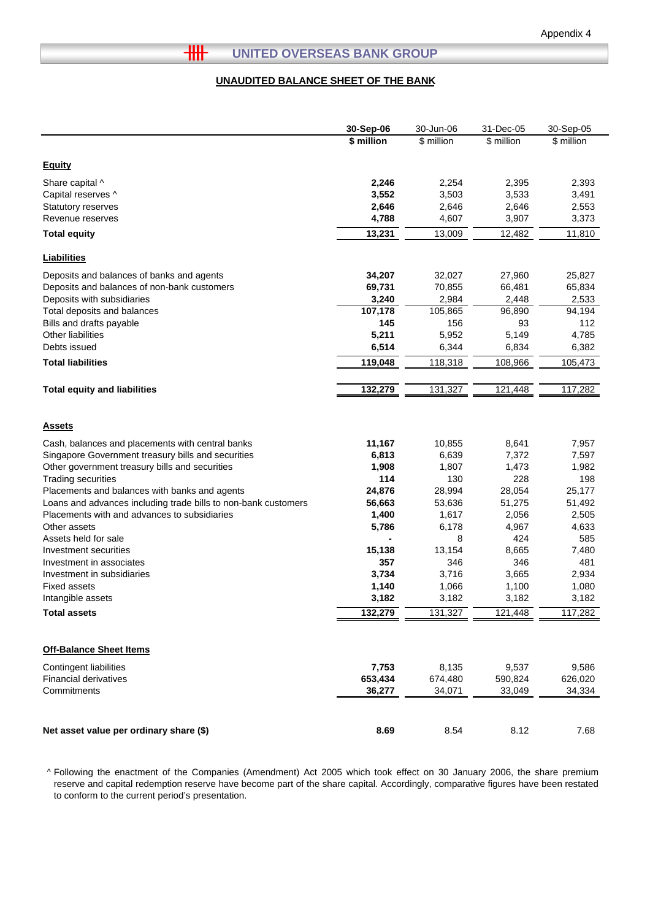#### $H$ **UNITED OVERSEAS BANK GROUP**

#### **UNAUDITED BALANCE SHEET OF THE BANK**

|                                                                | 30-Sep-06  | 30-Jun-06  | 31-Dec-05  | 30-Sep-05  |
|----------------------------------------------------------------|------------|------------|------------|------------|
|                                                                | \$ million | \$ million | \$ million | \$ million |
|                                                                |            |            |            |            |
| <b>Equity</b>                                                  |            |            |            |            |
| Share capital ^                                                | 2,246      | 2,254      | 2,395      | 2,393      |
| Capital reserves ^                                             | 3,552      | 3,503      | 3,533      | 3,491      |
| Statutory reserves                                             | 2,646      | 2,646      | 2,646      | 2,553      |
| Revenue reserves                                               | 4,788      | 4,607      | 3,907      | 3,373      |
| <b>Total equity</b>                                            | 13,231     | 13,009     | 12,482     | 11,810     |
|                                                                |            |            |            |            |
| <b>Liabilities</b>                                             |            |            |            |            |
| Deposits and balances of banks and agents                      | 34,207     | 32,027     | 27,960     | 25,827     |
| Deposits and balances of non-bank customers                    | 69,731     | 70,855     | 66,481     | 65,834     |
| Deposits with subsidiaries                                     | 3,240      | 2,984      | 2,448      | 2,533      |
| Total deposits and balances                                    | 107,178    | 105,865    | 96,890     | 94,194     |
| Bills and drafts payable                                       | 145        | 156        | 93         | 112        |
| Other liabilities                                              | 5,211      | 5,952      | 5,149      | 4,785      |
| Debts issued                                                   | 6,514      | 6,344      | 6,834      | 6,382      |
| <b>Total liabilities</b>                                       | 119,048    | 118,318    | 108,966    | 105,473    |
|                                                                |            |            |            |            |
| <b>Total equity and liabilities</b>                            | 132,279    | 131,327    | 121,448    | 117,282    |
|                                                                |            |            |            |            |
| <b>Assets</b>                                                  |            |            |            |            |
| Cash, balances and placements with central banks               | 11,167     | 10,855     | 8,641      | 7,957      |
| Singapore Government treasury bills and securities             | 6,813      | 6,639      | 7,372      | 7,597      |
| Other government treasury bills and securities                 | 1,908      | 1,807      | 1,473      | 1,982      |
| <b>Trading securities</b>                                      | 114        | 130        | 228        | 198        |
| Placements and balances with banks and agents                  | 24,876     | 28,994     | 28,054     | 25,177     |
| Loans and advances including trade bills to non-bank customers | 56,663     | 53,636     | 51,275     | 51,492     |
| Placements with and advances to subsidiaries                   | 1,400      | 1,617      | 2,056      | 2,505      |
| Other assets                                                   | 5,786      | 6,178      | 4,967      | 4,633      |
| Assets held for sale                                           |            | 8          | 424        | 585        |
| Investment securities                                          | 15,138     | 13,154     | 8,665      | 7,480      |
| Investment in associates                                       | 357        | 346        | 346        | 481        |
| Investment in subsidiaries                                     | 3,734      | 3,716      | 3,665      | 2,934      |
| Fixed assets                                                   | 1,140      | 1,066      | 1,100      | 1,080      |
| Intangible assets                                              | 3,182      | 3,182      | 3,182      | 3,182      |
| <b>Total assets</b>                                            | 132,279    | 131,327    | 121,448    | 117,282    |
|                                                                |            |            |            |            |
| <b>Off-Balance Sheet Items</b>                                 |            |            |            |            |
| Contingent liabilities                                         | 7,753      | 8,135      | 9,537      | 9,586      |
| <b>Financial derivatives</b>                                   | 653,434    | 674,480    | 590,824    | 626,020    |
| Commitments                                                    | 36,277     | 34,071     | 33,049     | 34,334     |
|                                                                |            |            |            |            |
|                                                                |            |            |            |            |
| Net asset value per ordinary share (\$)                        | 8.69       | 8.54       | 8.12       | 7.68       |

^ Following the enactment of the Companies (Amendment) Act 2005 which took effect on 30 January 2006, the share premium reserve and capital redemption reserve have become part of the share capital. Accordingly, comparative figures have been restated to conform to the current period's presentation.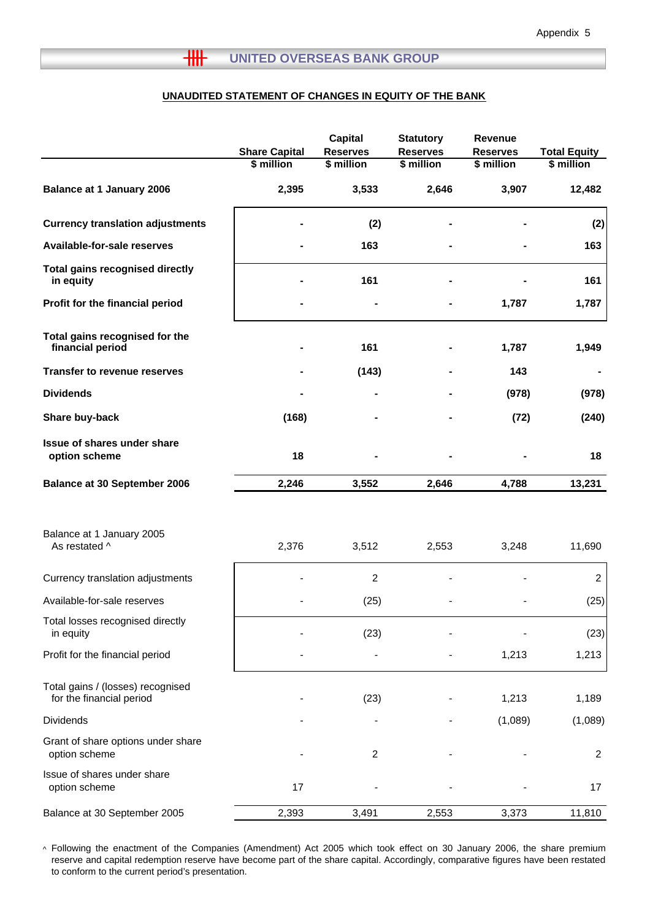#### **UNAUDITED STATEMENT OF CHANGES IN EQUITY OF THE BANK**

|                                                               | <b>Share Capital</b> | <b>Capital</b><br><b>Reserves</b> | <b>Statutory</b><br><b>Reserves</b> | <b>Revenue</b><br><b>Reserves</b> | <b>Total Equity</b> |
|---------------------------------------------------------------|----------------------|-----------------------------------|-------------------------------------|-----------------------------------|---------------------|
|                                                               | \$ million           | \$ million                        | \$ million                          | \$ million                        | \$ million          |
| <b>Balance at 1 January 2006</b>                              | 2,395                | 3,533                             | 2,646                               | 3,907                             | 12,482              |
| <b>Currency translation adjustments</b>                       |                      | (2)                               |                                     |                                   | (2)                 |
| Available-for-sale reserves                                   |                      | 163                               |                                     |                                   | 163                 |
| <b>Total gains recognised directly</b><br>in equity           |                      | 161                               |                                     |                                   | 161                 |
| Profit for the financial period                               |                      |                                   |                                     | 1,787                             | 1,787               |
| Total gains recognised for the<br>financial period            |                      | 161                               |                                     | 1,787                             | 1,949               |
| <b>Transfer to revenue reserves</b>                           |                      | (143)                             |                                     | 143                               |                     |
| <b>Dividends</b>                                              |                      |                                   |                                     | (978)                             | (978)               |
| Share buy-back                                                | (168)                |                                   |                                     | (72)                              | (240)               |
| Issue of shares under share<br>option scheme                  | 18                   |                                   |                                     |                                   | 18                  |
| <b>Balance at 30 September 2006</b>                           | 2,246                | 3,552                             | 2,646                               | 4,788                             | 13,231              |
| Balance at 1 January 2005<br>As restated ^                    | 2,376                | 3,512                             | 2,553                               | 3,248                             | 11,690              |
| Currency translation adjustments                              |                      | 2                                 |                                     |                                   | $\overline{2}$      |
| Available-for-sale reserves                                   |                      | (25)                              |                                     |                                   | (25)                |
| Total losses recognised directly<br>in equity                 |                      | (23)                              |                                     |                                   | (23)                |
| Profit for the financial period                               |                      |                                   |                                     | 1,213                             | 1,213               |
| Total gains / (losses) recognised<br>for the financial period |                      | (23)                              |                                     | 1,213                             | 1,189               |
| Dividends                                                     |                      |                                   |                                     | (1,089)                           | (1,089)             |
| Grant of share options under share<br>option scheme           |                      | 2                                 |                                     |                                   | $\overline{c}$      |
| Issue of shares under share<br>option scheme                  | 17                   |                                   |                                     |                                   | 17                  |
| Balance at 30 September 2005                                  | 2,393                | 3,491                             | 2,553                               | 3,373                             | 11,810              |

^ Following the enactment of the Companies (Amendment) Act 2005 which took effect on 30 January 2006, the share premium reserve and capital redemption reserve have become part of the share capital. Accordingly, comparative figures have been restated to conform to the current period's presentation.